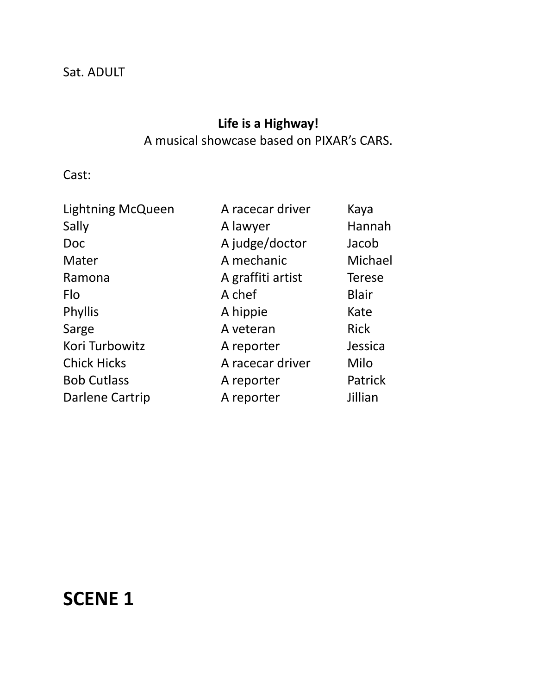#### **Life is a Highway!**

#### A musical showcase based on PIXAR's CARS.

Cast:

| <b>Lightning McQueen</b> | A racecar driver  | Kaya          |
|--------------------------|-------------------|---------------|
| Sally                    | A lawyer          | Hannah        |
| <b>Doc</b>               | A judge/doctor    | Jacob         |
| Mater                    | A mechanic        | Michael       |
| Ramona                   | A graffiti artist | <b>Terese</b> |
| Flo                      | A chef            | <b>Blair</b>  |
| Phyllis                  | A hippie          | Kate          |
| Sarge                    | A veteran         | <b>Rick</b>   |
| Kori Turbowitz           | A reporter        | Jessica       |
| <b>Chick Hicks</b>       | A racecar driver  | Milo          |
| <b>Bob Cutlass</b>       | A reporter        | Patrick       |
| Darlene Cartrip          | A reporter        | Jillian       |

### **SCENE 1**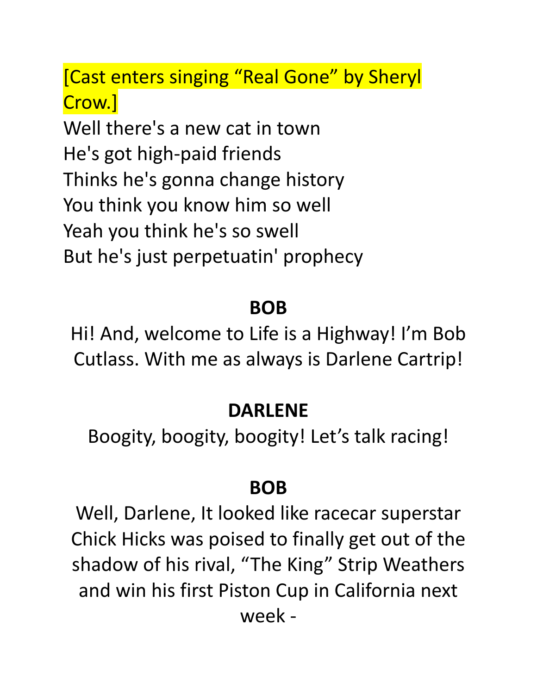[Cast enters singing "Real Gone" by Sheryl Crow.]

Well there's a new cat in town He's got high-paid friends Thinks he's gonna change history You think you know him so well Yeah you think he's so swell But he's just perpetuatin' prophecy

#### **BOB**

Hi! And, welcome to Life is a Highway! I'm Bob Cutlass. With me as always is Darlene Cartrip!

## **DARLENE**

Boogity, boogity, boogity! Let's talk racing!

### **BOB**

Well, Darlene, It looked like racecar superstar Chick Hicks was poised to finally get out of the shadow of his rival, "The King" Strip Weathers and win his first Piston Cup in California next week -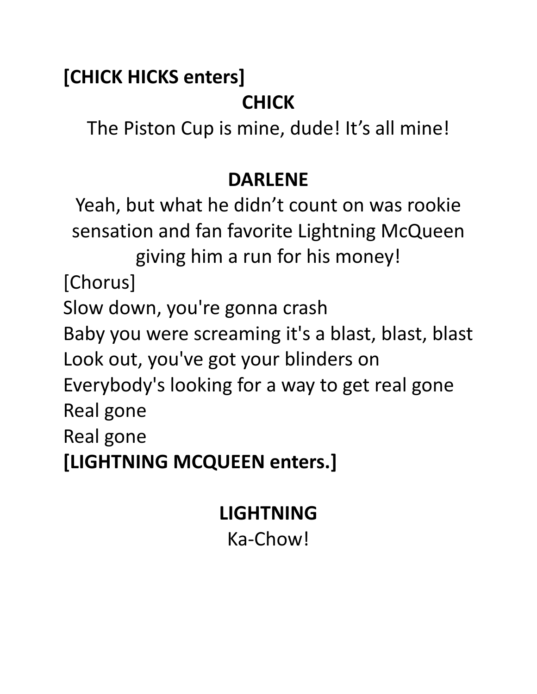# **[CHICK HICKS enters]**

# **CHICK**

The Piston Cup is mine, dude! It's all mine!

# **DARLENE**

Yeah, but what he didn't count on was rookie sensation and fan favorite Lightning McQueen giving him a run for his money! [Chorus] Slow down, you're gonna crash Baby you were screaming it's a blast, blast, blast Look out, you've got your blinders on Everybody's looking for a way to get real gone Real gone Real gone **[LIGHTNING MCQUEEN enters.]**

**LIGHTNING**

Ka-Chow!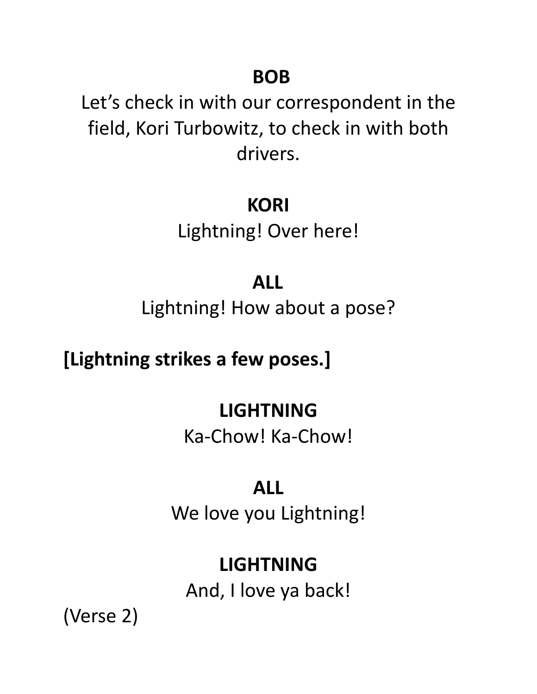### **BOB**

Let's check in with our correspondent in the field, Kori Turbowitz, to check in with both drivers.

### **KORI**

Lightning! Over here!

#### **ALL**

Lightning! How about a pose?

**[Lightning strikes a few poses.]**

## **LIGHTNING**

Ka-Chow! Ka-Chow!

## **ALL**

We love you Lightning!

## **LIGHTNING**

And, I love ya back!

(Verse 2)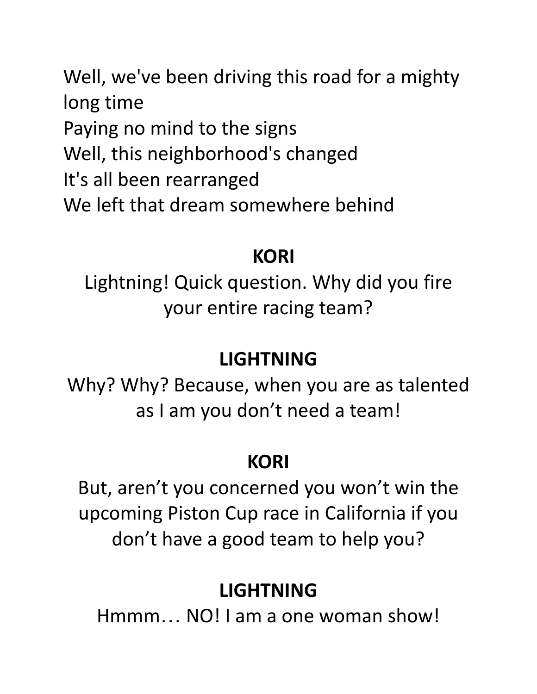Well, we've been driving this road for a mighty long time Paying no mind to the signs Well, this neighborhood's changed It's all been rearranged We left that dream somewhere behind

#### **KORI**

Lightning! Quick question. Why did you fire your entire racing team?

#### **LIGHTNING**

Why? Why? Because, when you are as talented as I am you don't need a team!

#### **KORI**

But, aren't you concerned you won't win the upcoming Piston Cup race in California if you don't have a good team to help you?

## **LIGHTNING**

Hmmm… NO! I am a one woman show!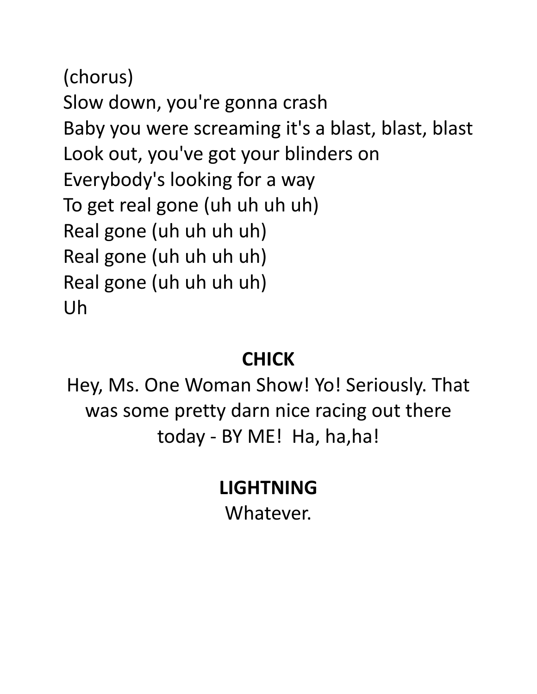(chorus) Slow down, you're gonna crash Baby you were screaming it's a blast, blast, blast Look out, you've got your blinders on Everybody's looking for a way To get real gone (uh uh uh uh) Real gone (uh uh uh uh) Real gone (uh uh uh uh) Real gone (uh uh uh uh) Uh

#### **CHICK**

Hey, Ms. One Woman Show! Yo! Seriously. That was some pretty darn nice racing out there today - BY ME! Ha, ha,ha!

# **LIGHTNING**

Whatever.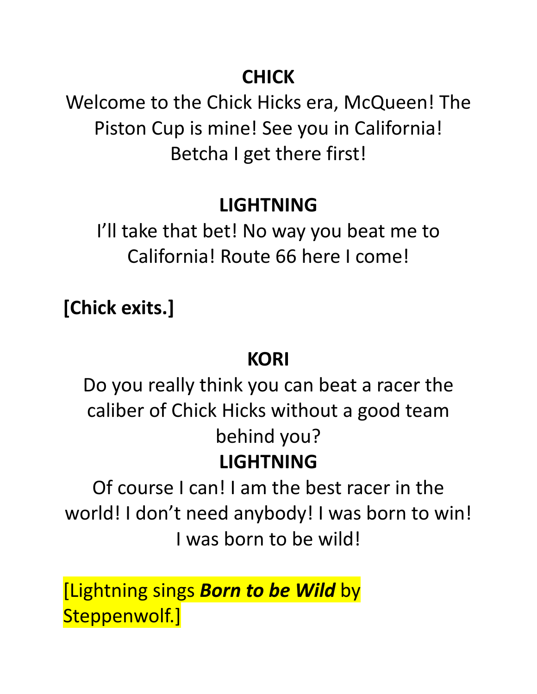## **CHICK**

Welcome to the Chick Hicks era, McQueen! The Piston Cup is mine! See you in California! Betcha I get there first!

#### **LIGHTNING**

I'll take that bet! No way you beat me to California! Route 66 here I come!

**[Chick exits.]**

#### **KORI**

Do you really think you can beat a racer the caliber of Chick Hicks without a good team behind you? **LIGHTNING**

Of course I can! I am the best racer in the world! I don't need anybody! I was born to win! I was born to be wild!

[Lightning sings *Born to be Wild* by Steppenwolf.]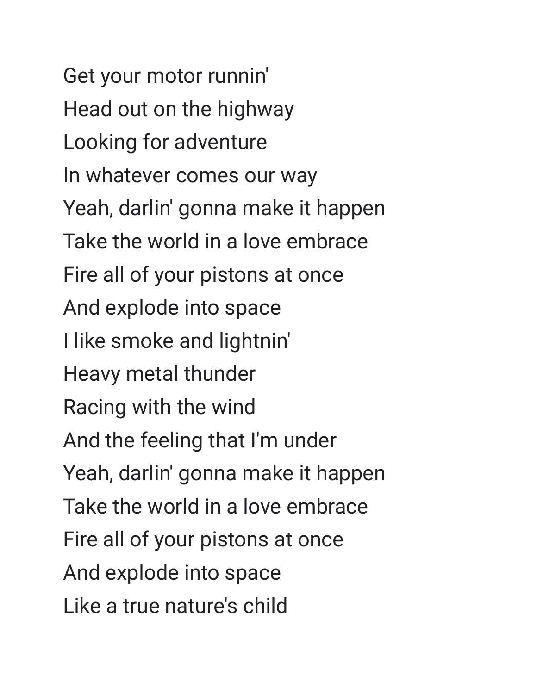Get your motor runnin' Head out on the highway Looking for adventure In whatever comes our way Yeah, darlin' gonna make it happen Take the world in a love embrace Fire all of your pistons at once And explode into space I like smoke and lightnin' Heavy metal thunder Racing with the wind And the feeling that I'm under Yeah, darlin' gonna make it happen Take the world in a love embrace Fire all of your pistons at once And explode into space Like a true nature's child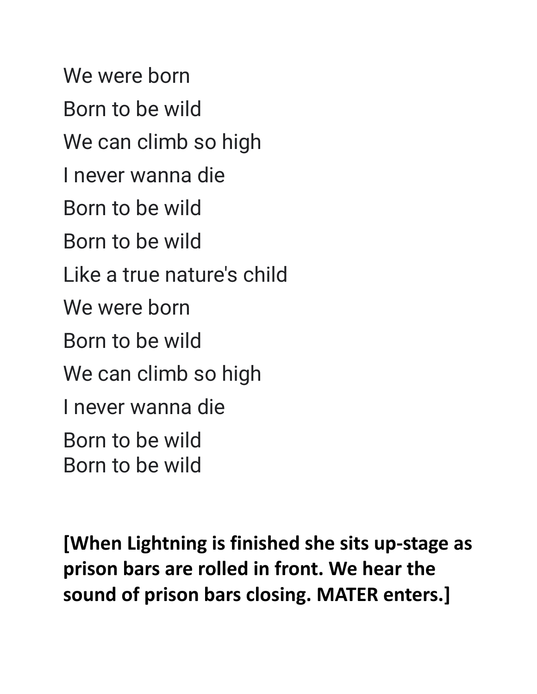We were born Born to be wild We can climb so high I never wanna die Born to be wild Born to be wild Like a true nature's child We were born Born to be wild We can climb so high I never wanna die Born to be wild Born to be wild

**[When Lightning is finished she sits up-stage as prison bars are rolled in front. We hear the sound of prison bars closing. MATER enters.]**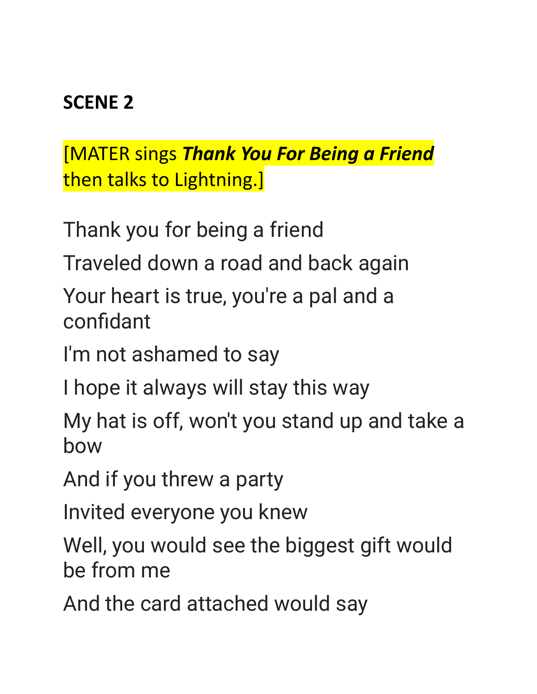## **SCENE 2**

[MATER sings *Thank You For Being a Friend* then talks to Lightning.]

Thank you for being a friend

Traveled down a road and back again

Your heart is true, you're a pal and a confidant

I'm not ashamed to say

I hope it always will stay this way

My hat is off, won't you stand up and take a bow

And if you threw a party

Invited everyone you knew

Well, you would see the biggest gift would be from me

And the card attached would say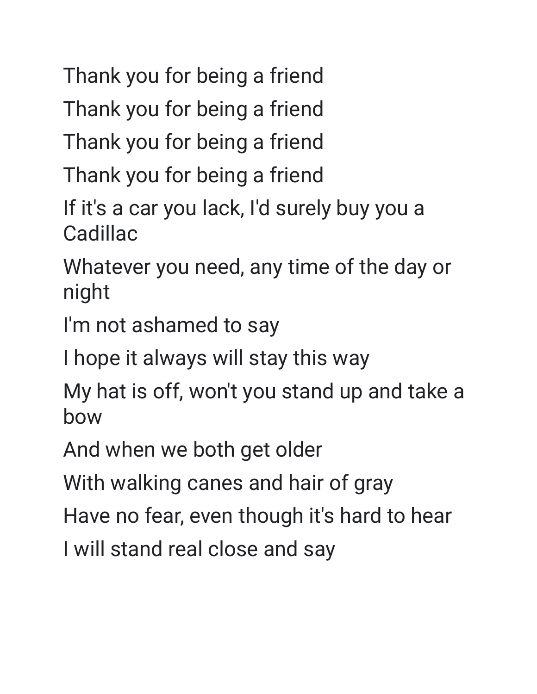Thank you for being a friend

Thank you for being a friend

Thank you for being a friend

Thank you for being a friend

If it's a car you lack, I'd surely buy you a **Cadillac** 

Whatever you need, any time of the day or night

I'm not ashamed to say

I hope it always will stay this way

My hat is off, won't you stand up and take a bow

And when we both get older

With walking canes and hair of gray

Have no fear, even though it's hard to hear

I will stand real close and say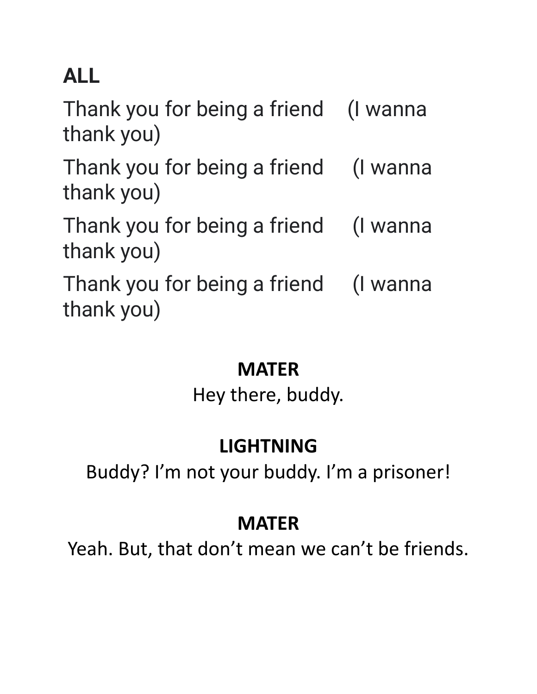# **ALL**

Thank you for being a friend (I wanna thank you)

Thank you for being a friend (I wanna thank you)

Thank you for being a friend (I wanna thank you)

Thank you for being a friend (I wanna thank you)

## **MATER**

Hey there, buddy.

## **LIGHTNING**

Buddy? I'm not your buddy. I'm a prisoner!

## **MATER**

Yeah. But, that don't mean we can't be friends.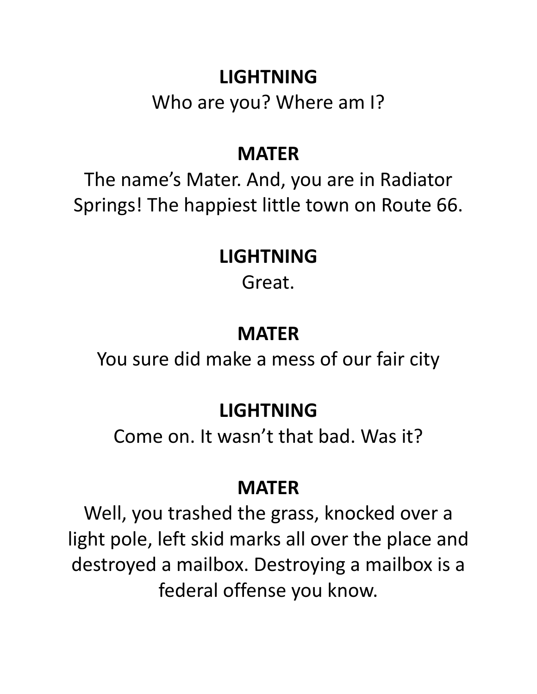#### **LIGHTNING**

Who are you? Where am I?

#### **MATER**

The name's Mater. And, you are in Radiator Springs! The happiest little town on Route 66.

## **LIGHTNING**

Great.

## **MATER**

You sure did make a mess of our fair city

## **LIGHTNING**

Come on. It wasn't that bad. Was it?

## **MATER**

Well, you trashed the grass, knocked over a light pole, left skid marks all over the place and destroyed a mailbox. Destroying a mailbox is a federal offense you know.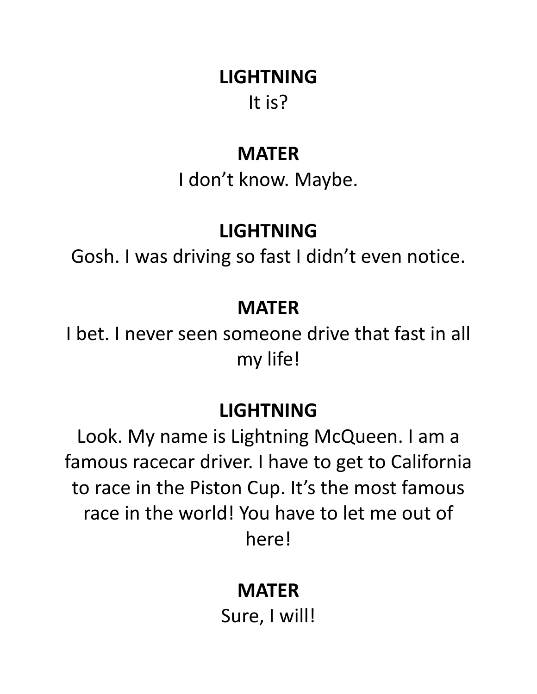#### **LIGHTNING**

#### It is?

#### **MATER**

I don't know. Maybe.

## **LIGHTNING**

Gosh. I was driving so fast I didn't even notice.

## **MATER**

I bet. I never seen someone drive that fast in all my life!

## **LIGHTNING**

Look. My name is Lightning McQueen. I am a famous racecar driver. I have to get to California to race in the Piston Cup. It's the most famous race in the world! You have to let me out of here!

### **MATER**

Sure, I will!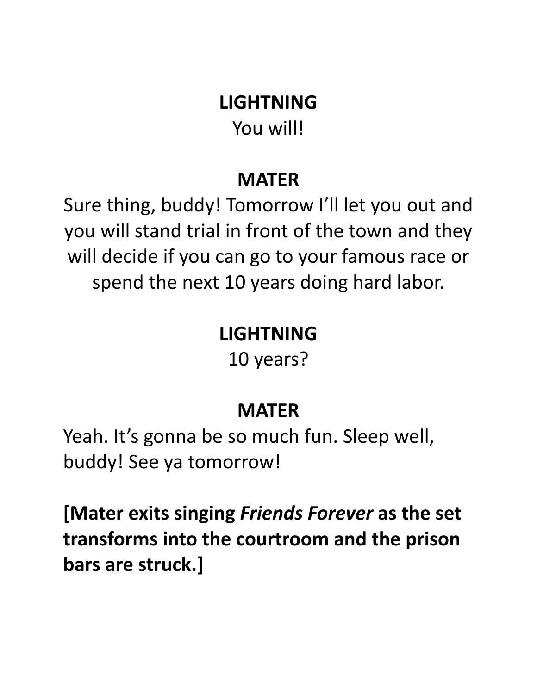## **LIGHTNING** You will!

## **MATER**

Sure thing, buddy! Tomorrow I'll let you out and you will stand trial in front of the town and they will decide if you can go to your famous race or spend the next 10 years doing hard labor.

#### **LIGHTNING**

10 years?

## **MATER**

Yeah. It's gonna be so much fun. Sleep well, buddy! See ya tomorrow!

**[Mater exits singing** *Friends Forever* **as the set transforms into the courtroom and the prison bars are struck.]**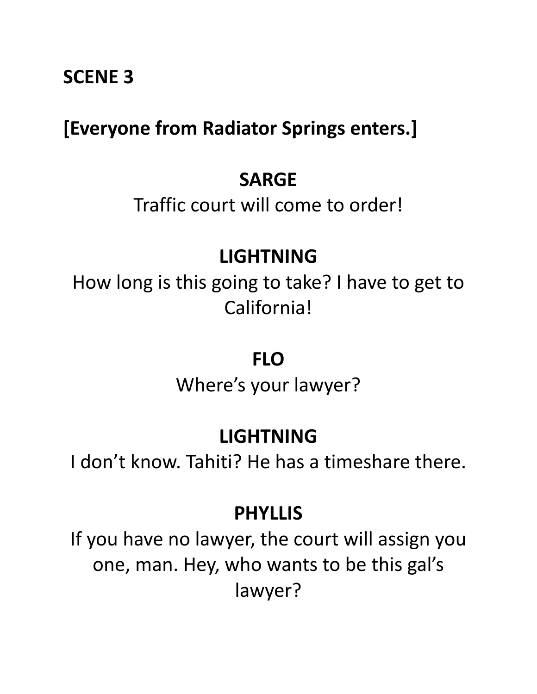## **SCENE 3**

#### **[Everyone from Radiator Springs enters.]**

#### **SARGE**

#### Traffic court will come to order!

#### **LIGHTNING**

How long is this going to take? I have to get to California!

#### **FLO**

Where's your lawyer?

#### **LIGHTNING**

I don't know. Tahiti? He has a timeshare there.

#### **PHYLLIS**

If you have no lawyer, the court will assign you one, man. Hey, who wants to be this gal's lawyer?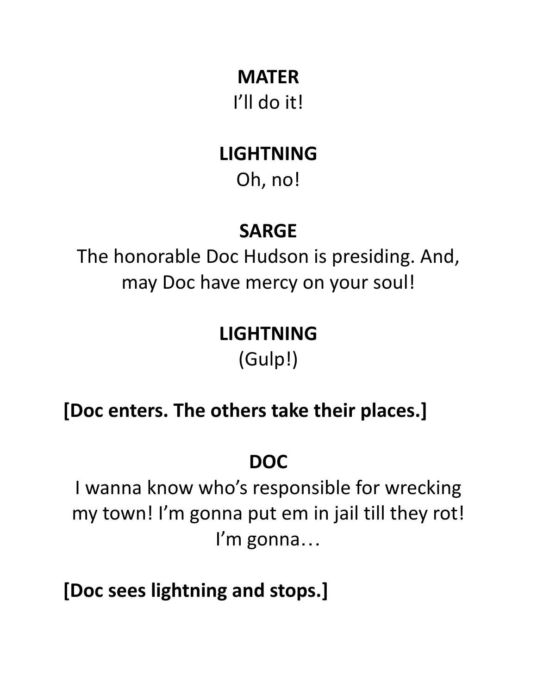#### **MATER**

I'll do it!

## **LIGHTNING**

## Oh, no!

# **SARGE**

The honorable Doc Hudson is presiding. And, may Doc have mercy on your soul!

# **LIGHTNING**

(Gulp!)

## **[Doc enters. The others take their places.]**

## **DOC**

I wanna know who's responsible for wrecking my town! I'm gonna put em in jail till they rot! I'm gonna…

**[Doc sees lightning and stops.]**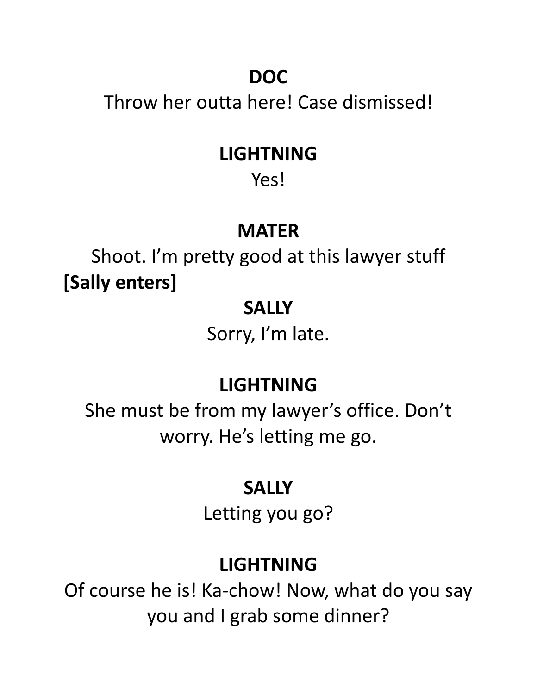## **DOC**

Throw her outta here! Case dismissed!

#### **LIGHTNING**

Yes!

### **MATER**

Shoot. I'm pretty good at this lawyer stuff **[Sally enters]**

## **SALLY**

Sorry, I'm late.

### **LIGHTNING**

She must be from my lawyer's office. Don't worry. He's letting me go.

## **SALLY**

Letting you go?

### **LIGHTNING**

Of course he is! Ka-chow! Now, what do you say you and I grab some dinner?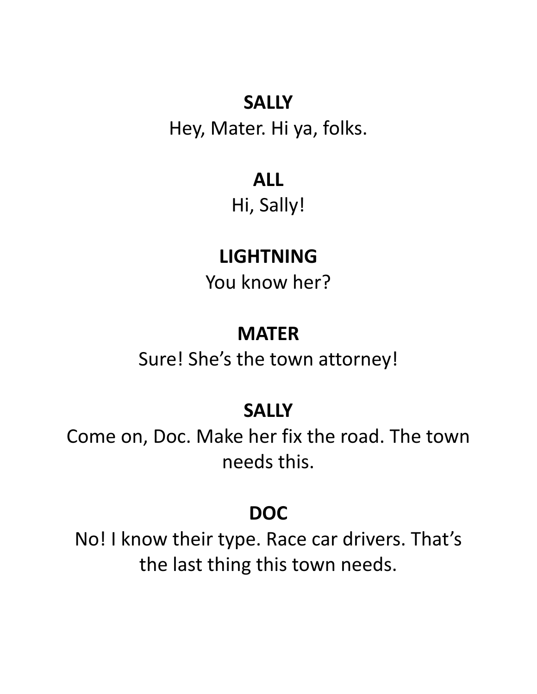#### **SALLY**

Hey, Mater. Hi ya, folks.

## **ALL**

## Hi, Sally!

#### **LIGHTNING**

You know her?

#### **MATER**

Sure! She's the town attorney!

#### **SALLY**

Come on, Doc. Make her fix the road. The town needs this.

#### **DOC**

No! I know their type. Race car drivers. That's the last thing this town needs.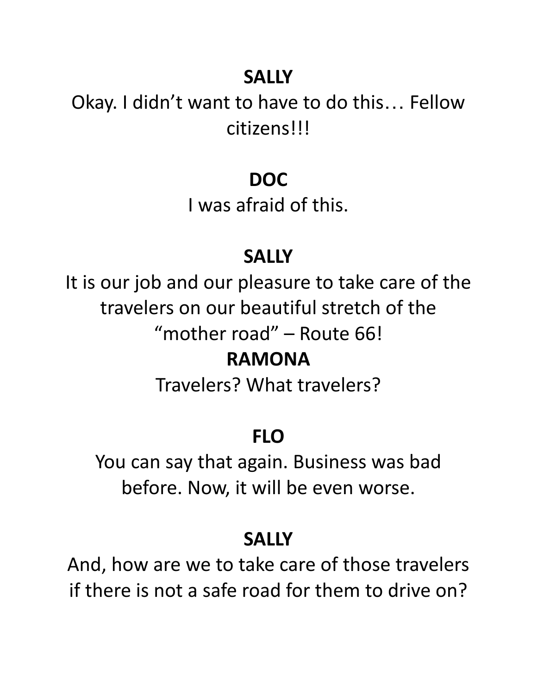#### **SALLY**

Okay. I didn't want to have to do this… Fellow citizens!!!

#### **DOC**

I was afraid of this.

#### **SALLY**

It is our job and our pleasure to take care of the travelers on our beautiful stretch of the "mother road" – Route 66!

#### **RAMONA**

Travelers? What travelers?

### **FLO**

You can say that again. Business was bad before. Now, it will be even worse.

#### **SALLY**

And, how are we to take care of those travelers if there is not a safe road for them to drive on?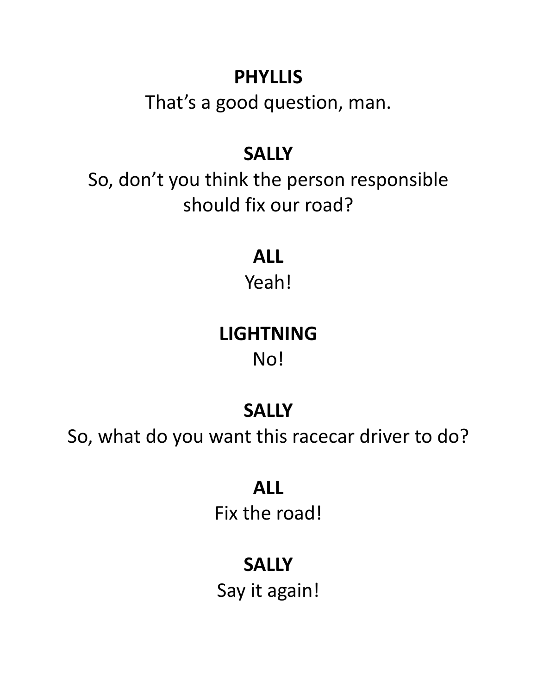#### **PHYLLIS**

That's a good question, man.

#### **SALLY**

So, don't you think the person responsible should fix our road?

**ALL**

Yeah!

#### **LIGHTNING** No!

## **SALLY**

So, what do you want this racecar driver to do?

### **ALL**

Fix the road!

#### **SALLY**

Say it again!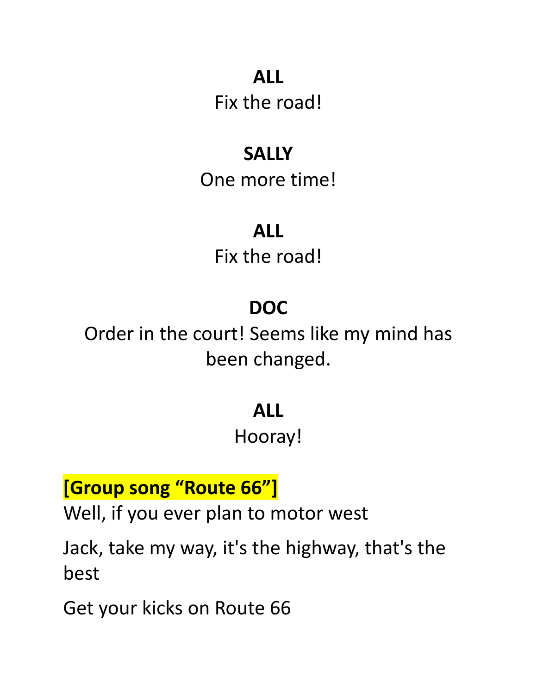#### **ALL**

Fix the road!

#### **SALLY**

One more time!

#### **ALL**

Fix the road!

## **DOC**

Order in the court! Seems like my mind has been changed.

## **ALL**

## Hooray!

## **[Group song "Route 66"]**

Well, if you ever plan to motor west

Jack, take my way, it's the highway, that's the best

Get your kicks on Route 66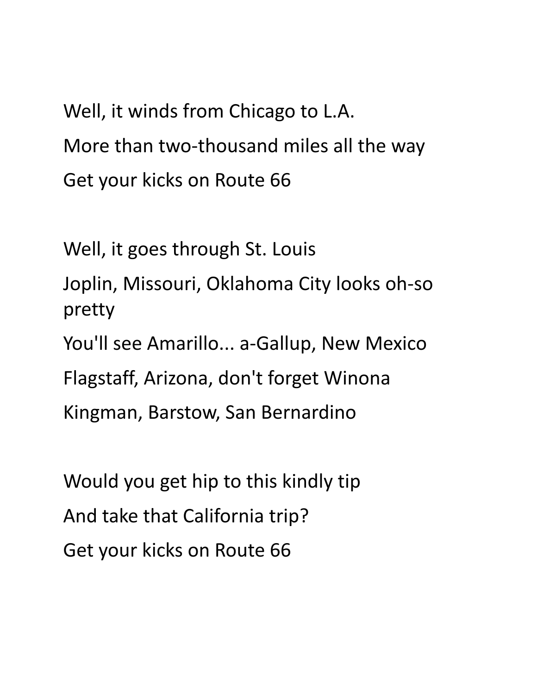Well, it winds from Chicago to L.A. More than two-thousand miles all the way Get your kicks on Route 66

Well, it goes through St. Louis

Joplin, Missouri, Oklahoma City looks oh-so pretty

You'll see Amarillo... a-Gallup, New Mexico

Flagstaff, Arizona, don't forget Winona

Kingman, Barstow, San Bernardino

Would you get hip to this kindly tip And take that California trip? Get your kicks on Route 66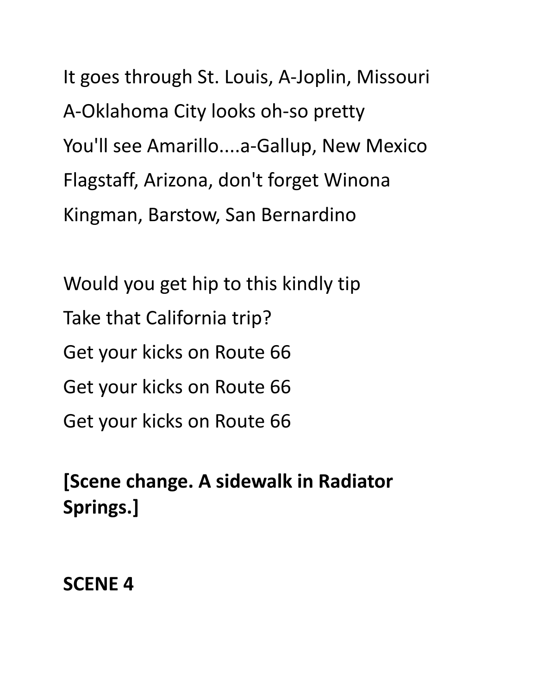It goes through St. Louis, A-Joplin, Missouri A-Oklahoma City looks oh-so pretty You'll see Amarillo....a-Gallup, New Mexico Flagstaff, Arizona, don't forget Winona Kingman, Barstow, San Bernardino

Would you get hip to this kindly tip Take that California trip? Get your kicks on Route 66 Get your kicks on Route 66 Get your kicks on Route 66

**[Scene change. A sidewalk in Radiator Springs.]**

**SCENE 4**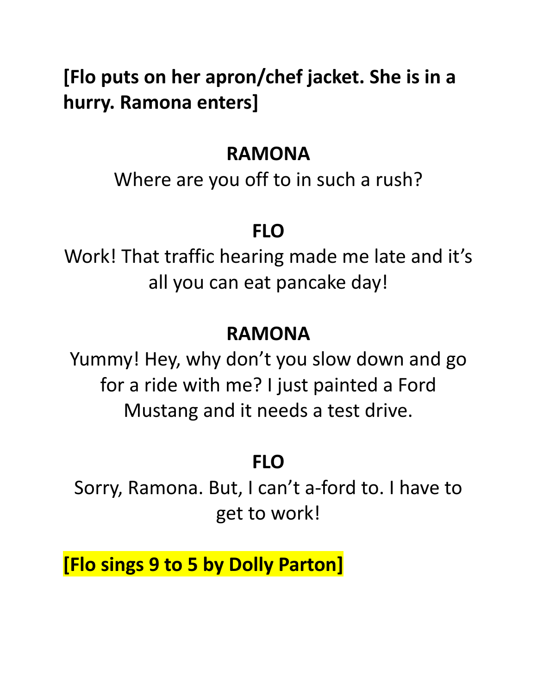## **[Flo puts on her apron/chef jacket. She is in a hurry. Ramona enters]**

#### **RAMONA**

Where are you off to in such a rush?

#### **FLO**

Work! That traffic hearing made me late and it's all you can eat pancake day!

#### **RAMONA**

Yummy! Hey, why don't you slow down and go for a ride with me? I just painted a Ford Mustang and it needs a test drive.

#### **FLO**

Sorry, Ramona. But, I can't a-ford to. I have to get to work!

**[Flo sings 9 to 5 by Dolly Parton]**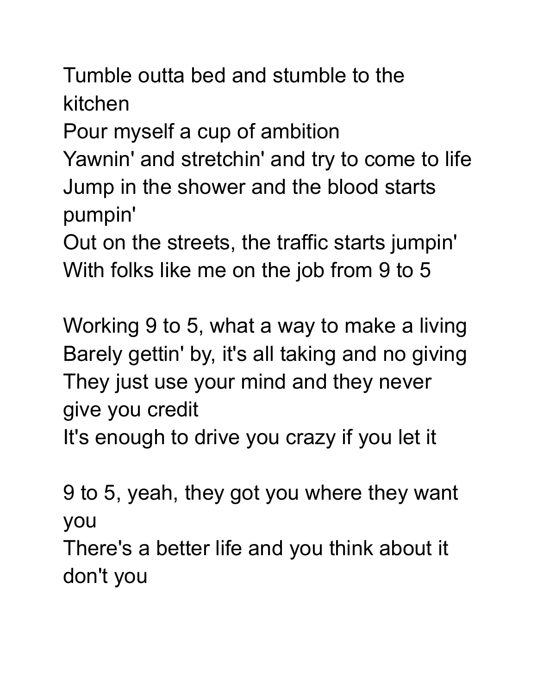[Tumble outta bed and stumble to the](https://genius.com/5036227/Dolly-parton-9-to-5/Tumble-outta-bed-and-stumble-to-the-kitchen) [kitchen](https://genius.com/5036227/Dolly-parton-9-to-5/Tumble-outta-bed-and-stumble-to-the-kitchen)

[Pour myself a cup of ambition](https://genius.com/814327/Dolly-parton-9-to-5/Pour-myself-a-cup-of-ambition)

[Yawnin' and stretchin' and try to come to life](https://genius.com/4386185/Dolly-parton-9-to-5/Yawnin-and-stretchin-and-try-to-come-to-life) [Jump in the shower and the blood starts](https://genius.com/5036224/Dolly-parton-9-to-5/Jump-in-the-shower-and-the-blood-starts-pumpin) [pumpin'](https://genius.com/5036224/Dolly-parton-9-to-5/Jump-in-the-shower-and-the-blood-starts-pumpin)

[Out on the streets, the traffic starts jumpin'](https://genius.com/5036195/Dolly-parton-9-to-5/Out-on-the-streets-the-traffic-starts-jumpin-with-folks-like-me-on-the-job-from-9-to-5) [With folks like me on the job from 9 to 5](https://genius.com/5036195/Dolly-parton-9-to-5/Out-on-the-streets-the-traffic-starts-jumpin-with-folks-like-me-on-the-job-from-9-to-5)

[Working 9 to 5, what a way to make a living](https://genius.com/5036191/Dolly-parton-9-to-5/Working-9-to-5-what-a-way-to-make-a-living) Barely gettin' by, it's all taking and no giving They just use your mind and they never give you credit It's enough to drive you crazy if you let it

9 to 5, yeah, they got you where they want you

There's a better life and you think about it don't you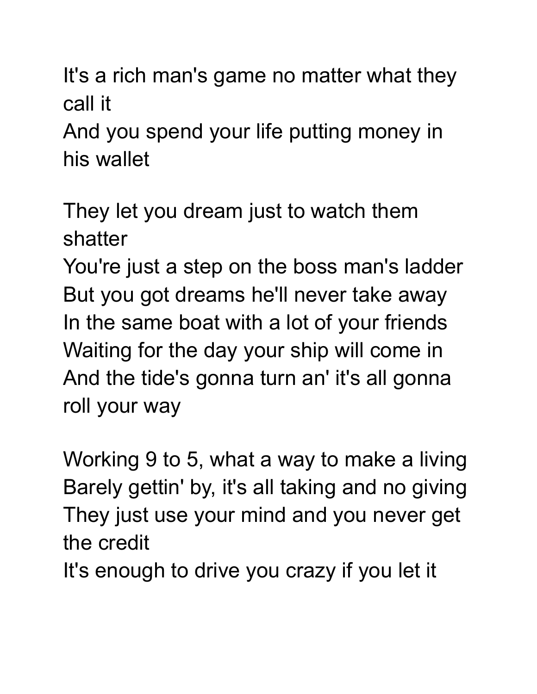[It's a rich man's game no matter what they](https://genius.com/5265333/Dolly-parton-9-to-5/Its-a-rich-mans-game-no-matter-what-they-call-it) [call it](https://genius.com/5265333/Dolly-parton-9-to-5/Its-a-rich-mans-game-no-matter-what-they-call-it)

[And you spend your life putting money in](https://genius.com/5265946/Dolly-parton-9-to-5/And-you-spend-your-life-putting-money-in-his-wallet) [his wallet](https://genius.com/5265946/Dolly-parton-9-to-5/And-you-spend-your-life-putting-money-in-his-wallet)

[They let you dream just to watch them](https://genius.com/5036232/Dolly-parton-9-to-5/They-let-you-dream-just-to-watch-them-shatter) [shatter](https://genius.com/5036232/Dolly-parton-9-to-5/They-let-you-dream-just-to-watch-them-shatter)

[You're just a step on the boss man's ladder](https://genius.com/2588619/Dolly-parton-9-to-5/Youre-just-a-step-on-the-boss-mans-ladder) But you got dreams he'll never take away In the same boat with a lot of your friends [Waiting for the day your ship will come in](https://genius.com/5264747/Dolly-parton-9-to-5/Waiting-for-the-day-your-ship-will-come-in-and-the-tides-gonna-turn-an-its-all-gonna-roll-your-way) [And the tide's gonna turn an' it's all gonna](https://genius.com/5264747/Dolly-parton-9-to-5/Waiting-for-the-day-your-ship-will-come-in-and-the-tides-gonna-turn-an-its-all-gonna-roll-your-way) [roll your way](https://genius.com/5264747/Dolly-parton-9-to-5/Waiting-for-the-day-your-ship-will-come-in-and-the-tides-gonna-turn-an-its-all-gonna-roll-your-way)

[Working 9 to 5, what a way to make a living](https://genius.com/5036191/Dolly-parton-9-to-5/Working-9-to-5-what-a-way-to-make-a-living) Barely gettin' by, it's all taking and no giving They just use your mind and you never get the credit

It's enough to drive you crazy if you let it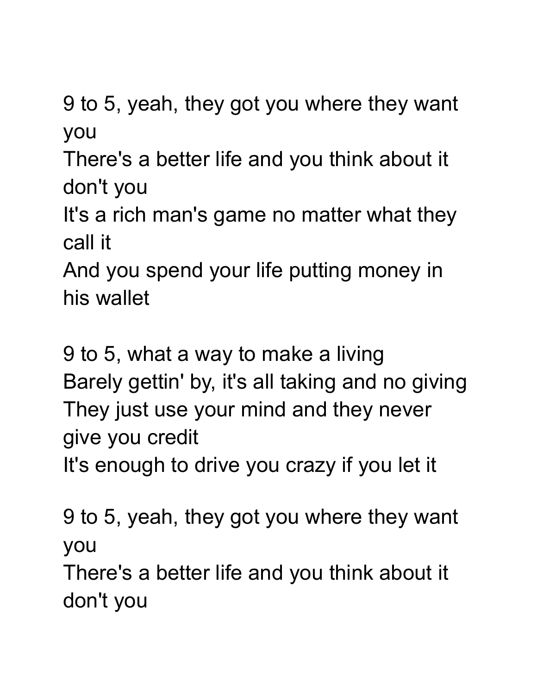9 to 5, yeah, they got you where they want you

There's a better life and you think about it don't you

[It's a rich man's game no matter what they](https://genius.com/5265333/Dolly-parton-9-to-5/Its-a-rich-mans-game-no-matter-what-they-call-it) [call it](https://genius.com/5265333/Dolly-parton-9-to-5/Its-a-rich-mans-game-no-matter-what-they-call-it)

[And you spend your life putting money in](https://genius.com/5265946/Dolly-parton-9-to-5/And-you-spend-your-life-putting-money-in-his-wallet) [his wallet](https://genius.com/5265946/Dolly-parton-9-to-5/And-you-spend-your-life-putting-money-in-his-wallet)

[9 to 5, what a way to make a living](https://genius.com/5036191/Dolly-parton-9-to-5/Working-9-to-5-what-a-way-to-make-a-living) Barely gettin' by, it's all taking and no giving They just use your mind and they never give you credit It's enough to drive you crazy if you let it

9 to 5, yeah, they got you where they want you

There's a better life and you think about it don't you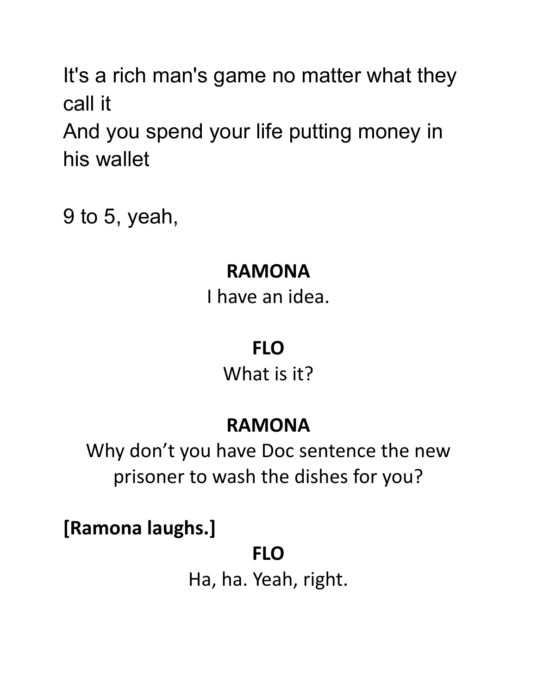[It's a rich man's game no matter what they](https://genius.com/5265333/Dolly-parton-9-to-5/Its-a-rich-mans-game-no-matter-what-they-call-it) [call it](https://genius.com/5265333/Dolly-parton-9-to-5/Its-a-rich-mans-game-no-matter-what-they-call-it)

[And you spend your life putting money in](https://genius.com/5265946/Dolly-parton-9-to-5/And-you-spend-your-life-putting-money-in-his-wallet) [his wallet](https://genius.com/5265946/Dolly-parton-9-to-5/And-you-spend-your-life-putting-money-in-his-wallet)

9 to 5, yeah,

#### **RAMONA**

I have an idea.

### **FLO**

What is it?

## **RAMONA**

Why don't you have Doc sentence the new prisoner to wash the dishes for you?

**[Ramona laughs.]**

**FLO**

Ha, ha. Yeah, right.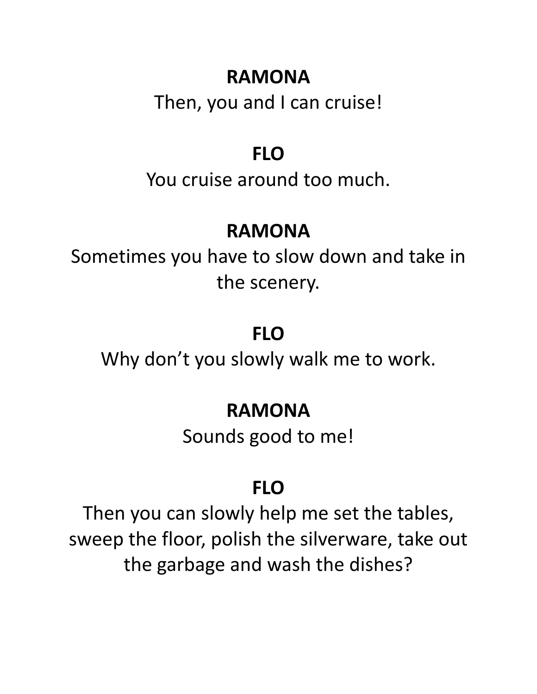#### **RAMONA**

Then, you and I can cruise!

#### **FLO**

You cruise around too much.

#### **RAMONA**

Sometimes you have to slow down and take in the scenery.

## **FLO**

Why don't you slowly walk me to work.

## **RAMONA**

Sounds good to me!

## **FLO**

Then you can slowly help me set the tables, sweep the floor, polish the silverware, take out the garbage and wash the dishes?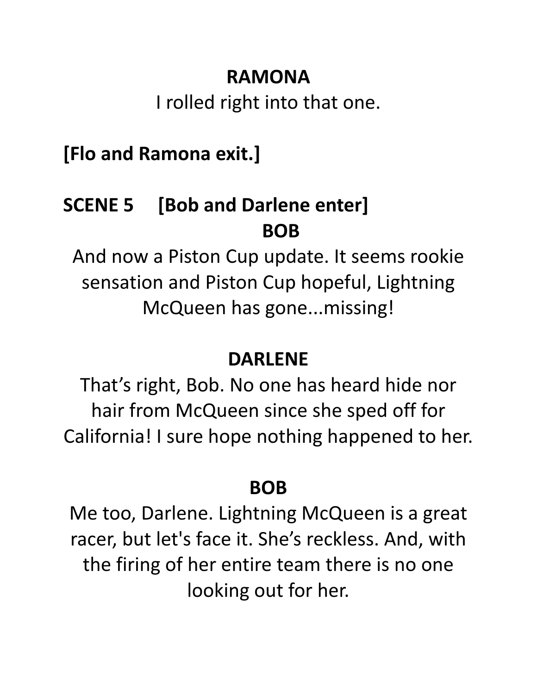#### **RAMONA**

I rolled right into that one.

**[Flo and Ramona exit.]**

## **SCENE 5 [Bob and Darlene enter] BOB**

And now a Piston Cup update. It seems rookie sensation and Piston Cup hopeful, Lightning McQueen has gone...missing!

#### **DARLENE**

That's right, Bob. No one has heard hide nor hair from McQueen since she sped off for California! I sure hope nothing happened to her.

#### **BOB**

Me too, Darlene. Lightning McQueen is a great racer, but let's face it. She's reckless. And, with the firing of her entire team there is no one looking out for her.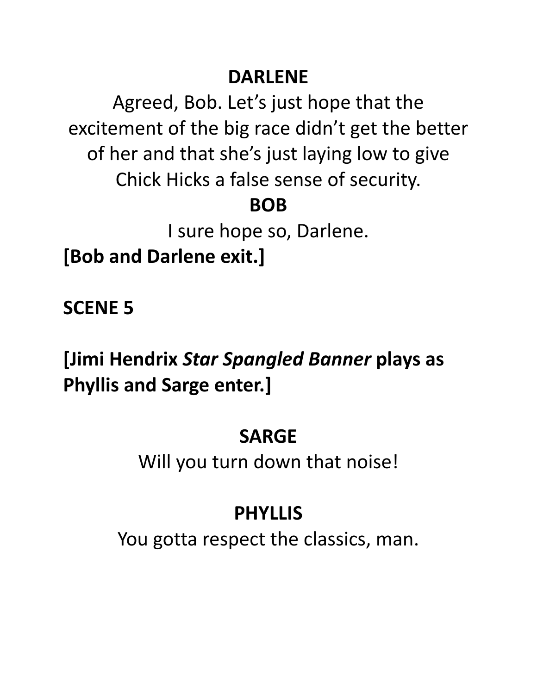#### **DARLENE**

Agreed, Bob. Let's just hope that the excitement of the big race didn't get the better of her and that she's just laying low to give Chick Hicks a false sense of security.

### **BOB**

I sure hope so, Darlene.

**[Bob and Darlene exit.]**

**SCENE 5**

## **[Jimi Hendrix** *Star Spangled Banner* **plays as Phyllis and Sarge enter.]**

## **SARGE**

Will you turn down that noise!

## **PHYLLIS**

You gotta respect the classics, man.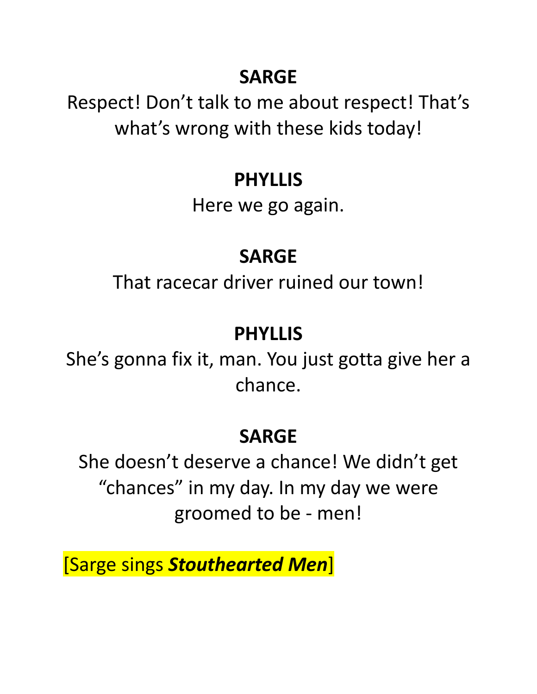## **SARGE**

Respect! Don't talk to me about respect! That's what's wrong with these kids today!

## **PHYLLIS**

Here we go again.

## **SARGE**

That racecar driver ruined our town!

## **PHYLLIS**

She's gonna fix it, man. You just gotta give her a chance.

## **SARGE**

She doesn't deserve a chance! We didn't get "chances" in my day. In my day we were groomed to be - men!

[Sarge sings *Stouthearted Men*]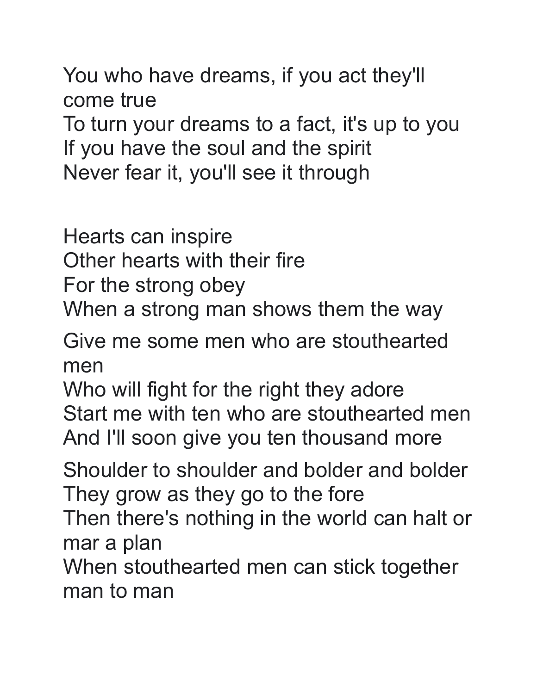You who have dreams, if you act they'll come true

To turn your dreams to a fact, it's up to you If you have the soul and the spirit Never fear it, you'll see it through

Hearts can inspire Other hearts with their fire For the strong obey

When a strong man shows them the way

Give me some men who are stouthearted men

Who will fight for the right they adore Start me with ten who are stouthearted men And I'll soon give you ten thousand more

Shoulder to shoulder and bolder and bolder They grow as they go to the fore

Then there's nothing in the world can halt or mar a plan

When stouthearted men can stick together man to man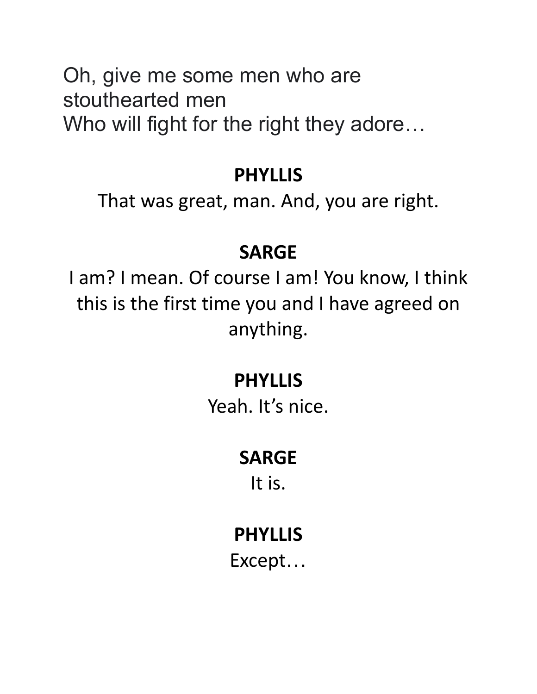Oh, give me some men who are stouthearted men Who will fight for the right they adore…

#### **PHYLLIS**

That was great, man. And, you are right.

#### **SARGE**

I am? I mean. Of course I am! You know, I think this is the first time you and I have agreed on anything.

#### **PHYLLIS**

Yeah. It's nice.

#### **SARGE**

It is.

#### **PHYLLIS**

Except…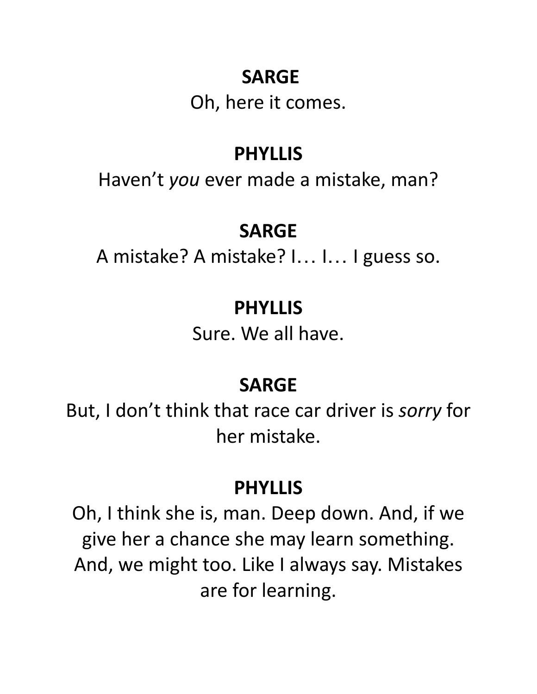#### **SARGE**

Oh, here it comes.

#### **PHYLLIS**

Haven't *you* ever made a mistake, man?

#### **SARGE**

A mistake? A mistake? I… I… I guess so.

## **PHYLLIS**

Sure. We all have.

#### **SARGE**

But, I don't think that race car driver is *sorry* for her mistake.

#### **PHYLLIS**

Oh, I think she is, man. Deep down. And, if we give her a chance she may learn something. And, we might too. Like I always say. Mistakes are for learning.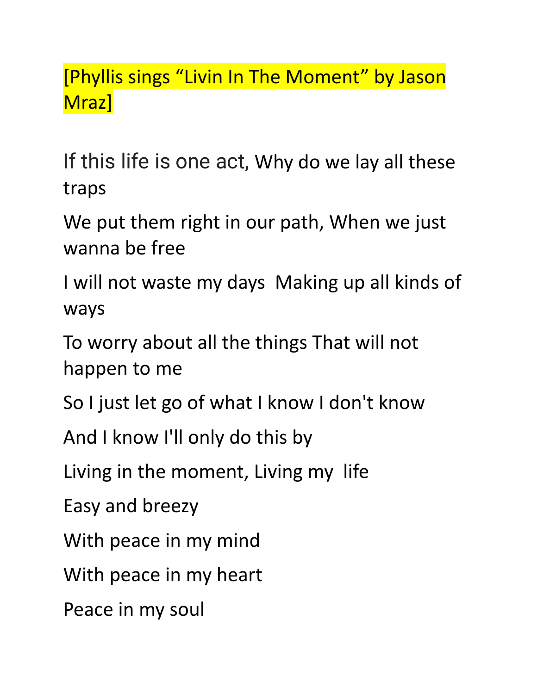[Phyllis sings "Livin In The Moment" by Jason Mraz]

If this life is one act, Why do we lay all these traps

We put them right in our path, When we just wanna be free

I will not waste my days Making up all kinds of ways

To worry about all the things That will not happen to me

So I just let go of what I know I don't know

And I know I'll only do this by

Living in the moment, Living my life

Easy and breezy

With peace in my mind

With peace in my heart

Peace in my soul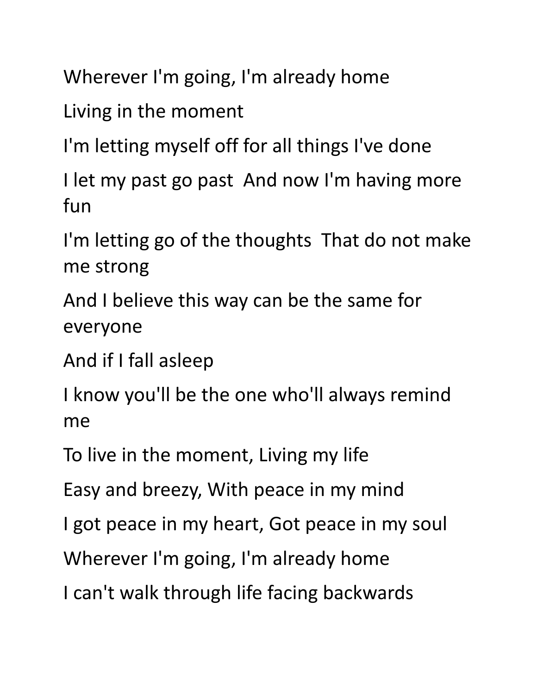Wherever I'm going, I'm already home

Living in the moment

I'm letting myself off for all things I've done

I let my past go past And now I'm having more fun

I'm letting go of the thoughts That do not make me strong

And I believe this way can be the same for everyone

And if I fall asleep

I know you'll be the one who'll always remind me

To live in the moment, Living my life

Easy and breezy, With peace in my mind

I got peace in my heart, Got peace in my soul

Wherever I'm going, I'm already home

I can't walk through life facing backwards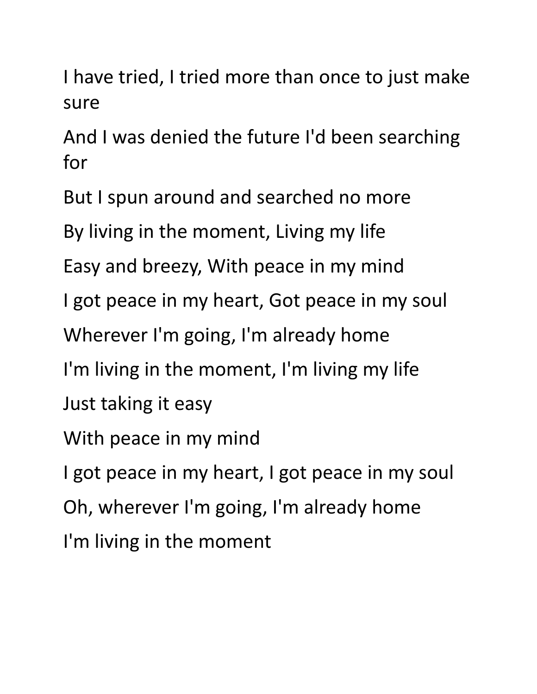I have tried, I tried more than once to just make sure

And I was denied the future I'd been searching for

But I spun around and searched no more

By living in the moment, Living my life

Easy and breezy, With peace in my mind

I got peace in my heart, Got peace in my soul

Wherever I'm going, I'm already home

I'm living in the moment, I'm living my life

Just taking it easy

With peace in my mind

I got peace in my heart, I got peace in my soul Oh, wherever I'm going, I'm already home

I'm living in the moment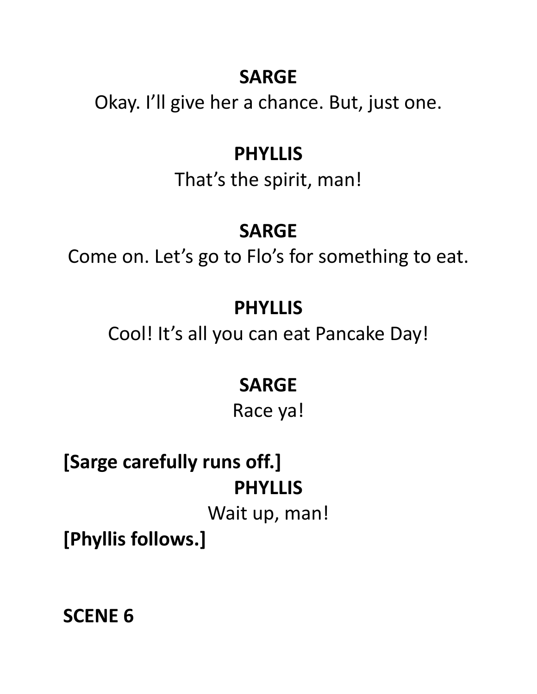## **SARGE**

Okay. I'll give her a chance. But, just one.

#### **PHYLLIS**

That's the spirit, man!

## **SARGE**

Come on. Let's go to Flo's for something to eat.

## **PHYLLIS**

Cool! It's all you can eat Pancake Day!

## **SARGE**

Race ya!

# **[Sarge carefully runs off.] PHYLLIS**

Wait up, man!

**[Phyllis follows.]**

**SCENE 6**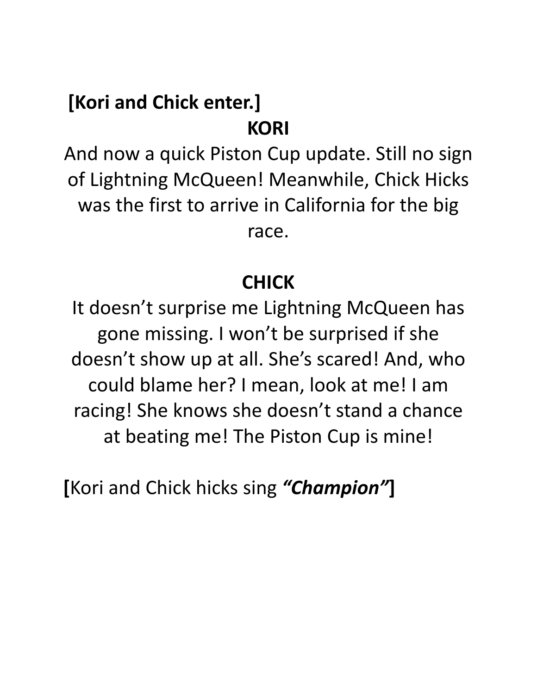## **[Kori and Chick enter.] KORI**

And now a quick Piston Cup update. Still no sign of Lightning McQueen! Meanwhile, Chick Hicks was the first to arrive in California for the big race.

## **CHICK**

It doesn't surprise me Lightning McQueen has gone missing. I won't be surprised if she doesn't show up at all. She's scared! And, who could blame her? I mean, look at me! I am racing! She knows she doesn't stand a chance at beating me! The Piston Cup is mine!

**[**Kori and Chick hicks sing *"Champion"***]**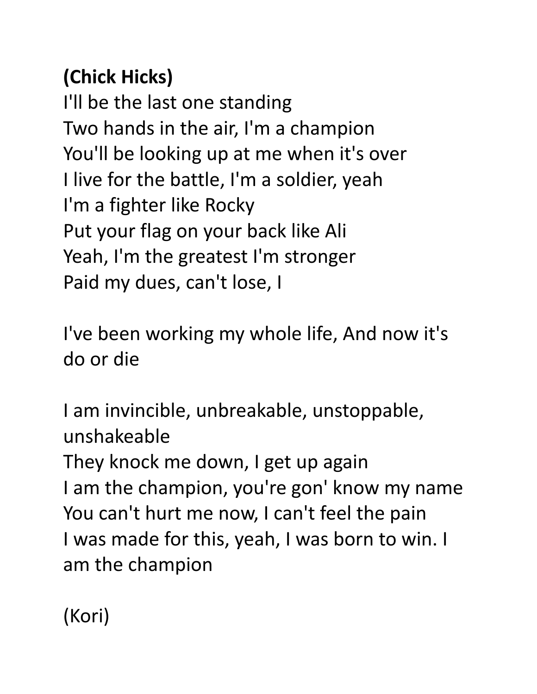# **(Chick Hicks)**

I'll be the last one standing Two hands in the air, I'm a champion You'll be looking up at me when it's over I live for the battle, I'm a soldier, yeah I'm a fighter like Rocky Put your flag on your back like Ali Yeah, I'm the greatest I'm stronger Paid my dues, can't lose, I

I've been working my whole life, And now it's do or die

I am invincible, unbreakable, unstoppable, unshakeable They knock me down, I get up again I am the champion, you're gon' know my name You can't hurt me now, I can't feel the pain I was made for this, yeah, I was born to win. I am the champion

(Kori)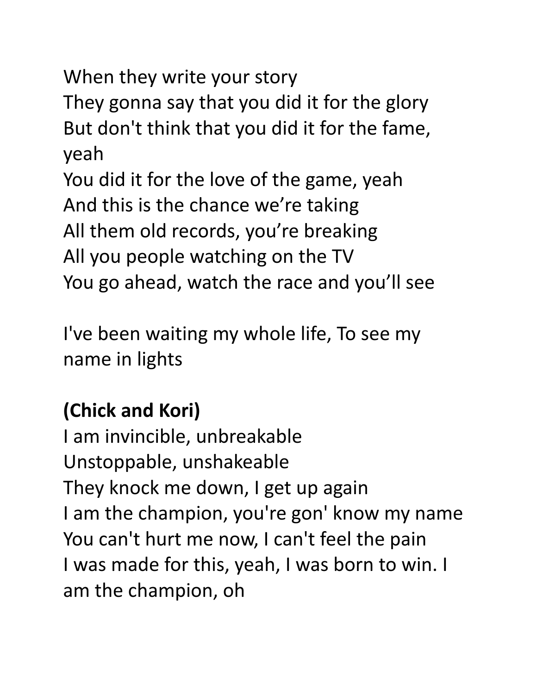When they write your story

They gonna say that you did it for the glory But don't think that you did it for the fame, yeah

You did it for the love of the game, yeah And this is the chance we're taking All them old records, you're breaking All you people watching on the TV You go ahead, watch the race and you'll see

I've been waiting my whole life, To see my name in lights

# **(Chick and Kori)**

I am invincible, unbreakable Unstoppable, unshakeable They knock me down, I get up again I am the champion, you're gon' know my name You can't hurt me now, I can't feel the pain I was made for this, yeah, I was born to win. I am the champion, oh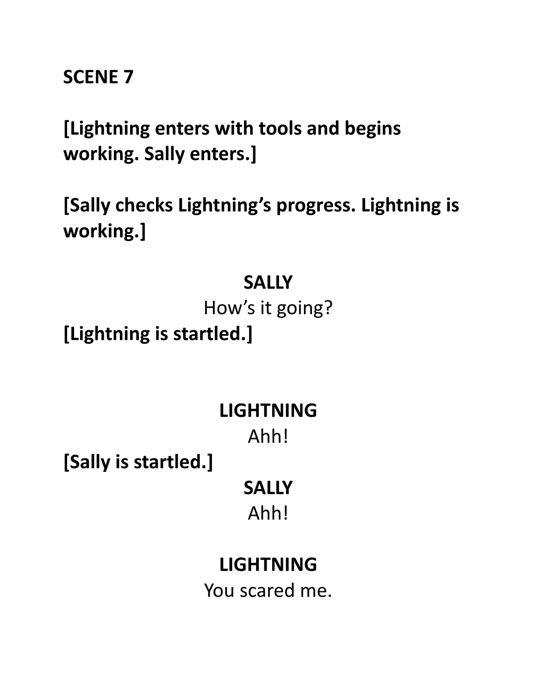#### **SCENE 7**

**[Lightning enters with tools and begins working. Sally enters.]**

**[Sally checks Lightning's progress. Lightning is working.]**

#### **SALLY**

How's it going?

**[Lightning is startled.]**

#### **LIGHTNING**

Ahh!

**[Sally is startled.]**

### **SALLY**

Ahh!

#### **LIGHTNING**

You scared me.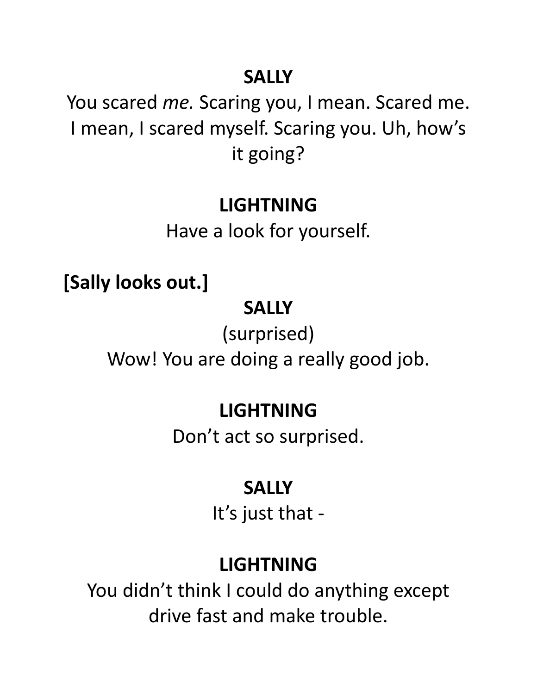#### **SALLY**

You scared *me.* Scaring you, I mean. Scared me. I mean, I scared myself. Scaring you. Uh, how's it going?

#### **LIGHTNING**

Have a look for yourself.

**[Sally looks out.]**

## **SALLY**

(surprised)

Wow! You are doing a really good job.

## **LIGHTNING**

Don't act so surprised.

## **SALLY**

It's just that -

## **LIGHTNING**

You didn't think I could do anything except drive fast and make trouble.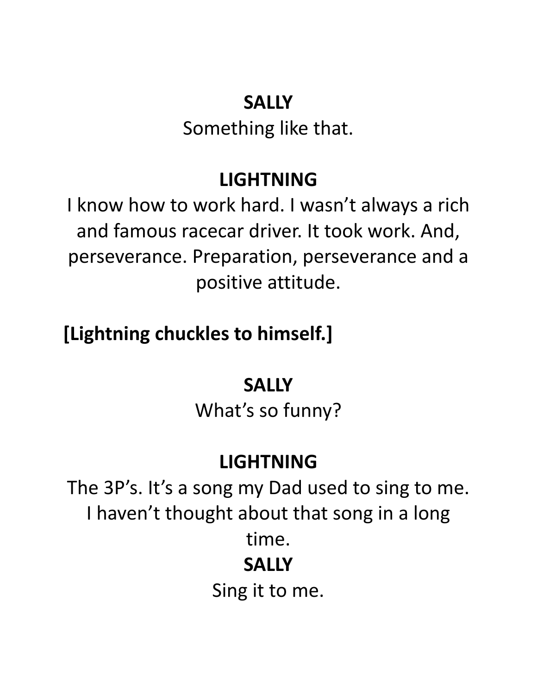#### **SALLY**

Something like that.

## **LIGHTNING**

I know how to work hard. I wasn't always a rich and famous racecar driver. It took work. And, perseverance. Preparation, perseverance and a positive attitude.

## **[Lightning chuckles to himself.]**

## **SALLY**

What's so funny?

## **LIGHTNING**

The 3P's. It's a song my Dad used to sing to me. I haven't thought about that song in a long time. **SALLY** Sing it to me.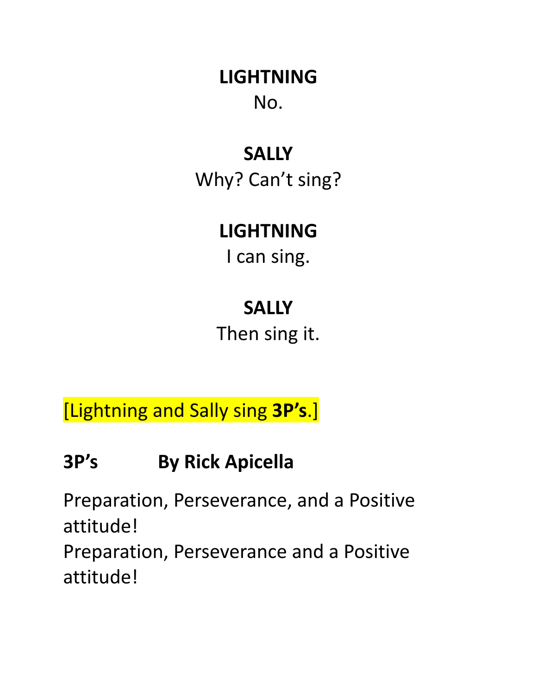#### **LIGHTNING** No.

## **SALLY**

Why? Can't sing?

# **LIGHTNING**

I can sing.

## **SALLY**

Then sing it.

[Lightning and Sally sing **3P's**.]

## **3P's By Rick Apicella**

Preparation, Perseverance, and a Positive attitude! Preparation, Perseverance and a Positive attitude!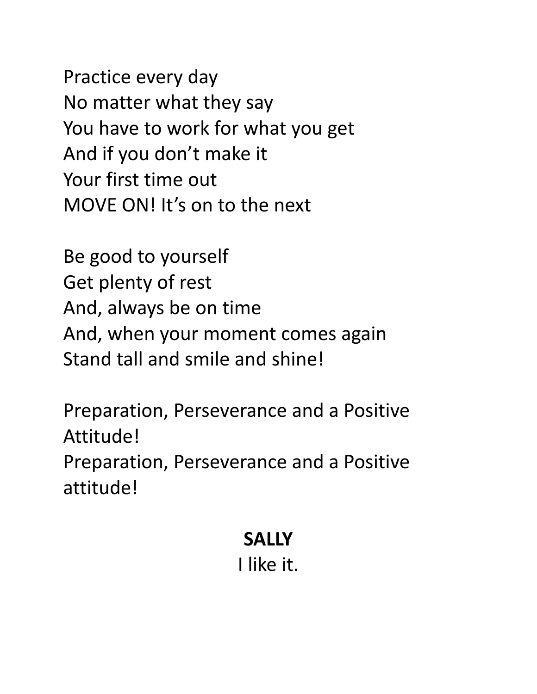Practice every day No matter what they say You have to work for what you get And if you don't make it Your first time out MOVE ON! It's on to the next

Be good to yourself Get plenty of rest And, always be on time And, when your moment comes again Stand tall and smile and shine!

Preparation, Perseverance and a Positive Attitude! Preparation, Perseverance and a Positive attitude!

## **SALLY**

I like it.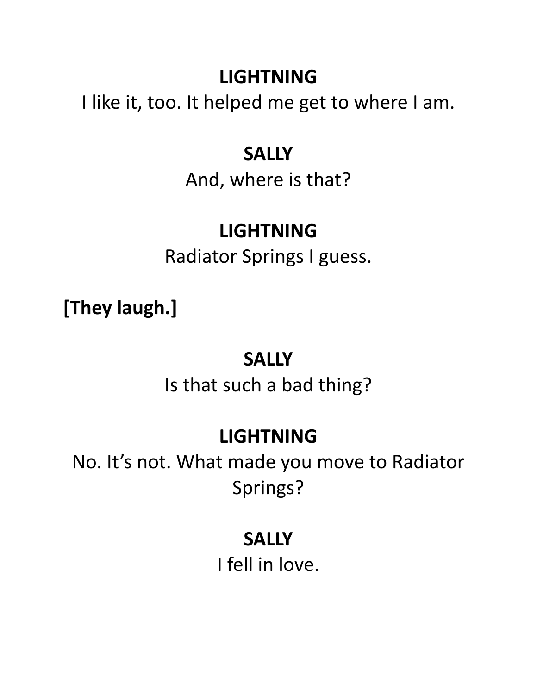#### **LIGHTNING**

I like it, too. It helped me get to where I am.

#### **SALLY**

And, where is that?

#### **LIGHTNING**

Radiator Springs I guess.

**[They laugh.]**

#### **SALLY**

Is that such a bad thing?

### **LIGHTNING**

No. It's not. What made you move to Radiator Springs?

## **SALLY**

I fell in love.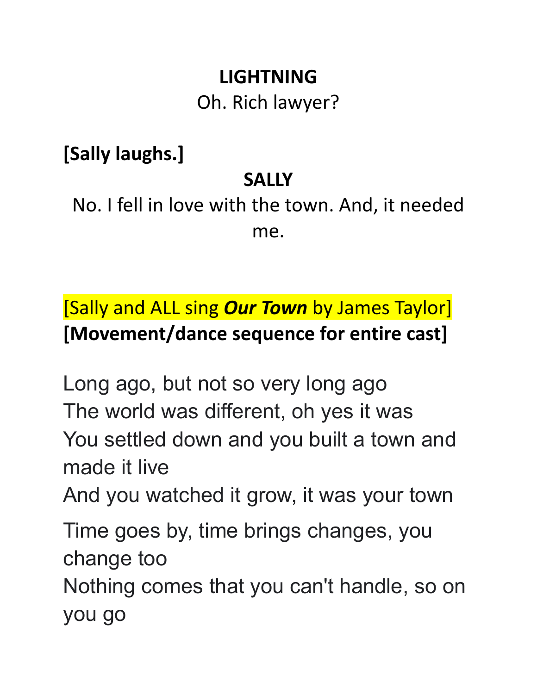## **LIGHTNING**

Oh. Rich lawyer?

**[Sally laughs.]**

# **SALLY**

No. I fell in love with the town. And, it needed me.

# [Sally and ALL sing *Our Town* by James Taylor] **[Movement/dance sequence for entire cast]**

Long ago, but not so very long ago The world was different, oh yes it was You settled down and you built a town and made it live

And you watched it grow, it was your town

Time goes by, time brings changes, you change too

Nothing comes that you can't handle, so on you go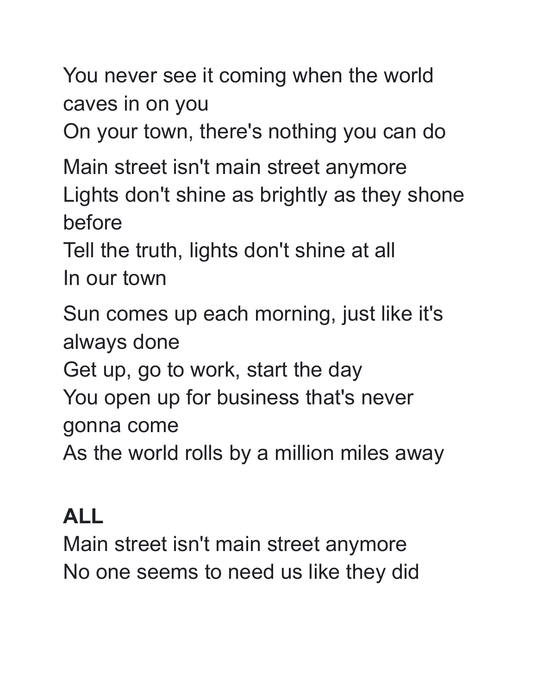You never see it coming when the world caves in on you

On your town, there's nothing you can do

Main street isn't main street anymore Lights don't shine as brightly as they shone before

Tell the truth, lights don't shine at all In our town

Sun comes up each morning, just like it's always done

Get up, go to work, start the day

You open up for business that's never

gonna come

As the world rolls by a million miles away

# **ALL**

Main street isn't main street anymore No one seems to need us like they did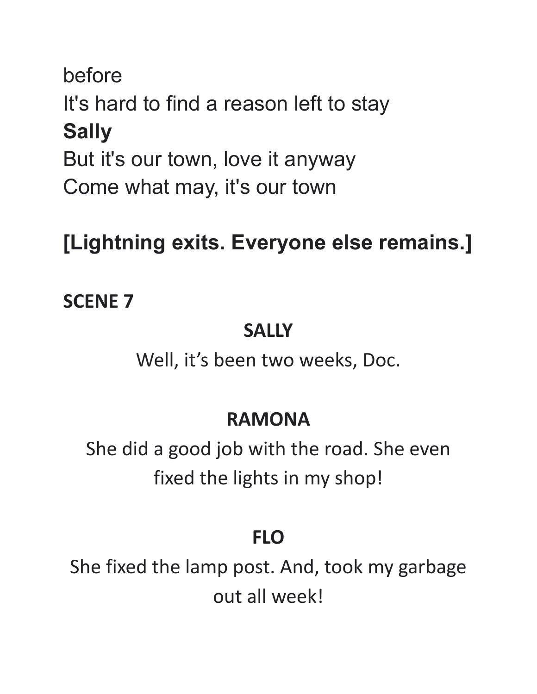# before It's hard to find a reason left to stay **Sally** But it's our town, love it anyway Come what may, it's our town

# **[Lightning exits. Everyone else remains.]**

#### **SCENE 7**

#### **SALLY**

Well, it's been two weeks, Doc.

#### **RAMONA**

She did a good job with the road. She even fixed the lights in my shop!

#### **FLO**

She fixed the lamp post. And, took my garbage out all week!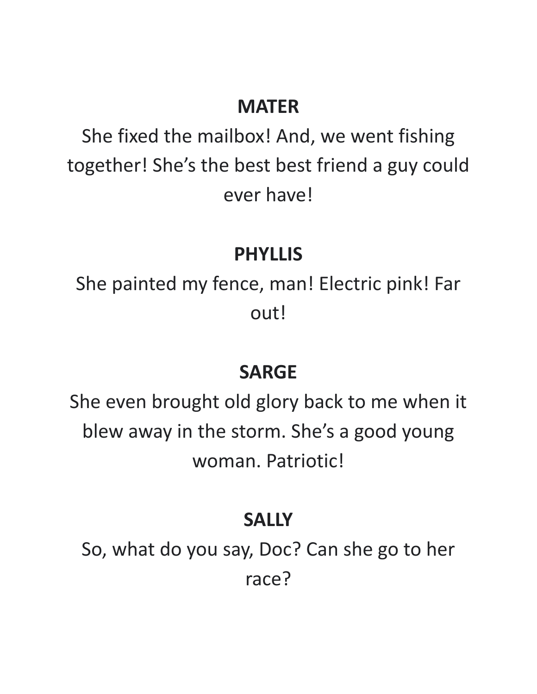#### **MATER**

She fixed the mailbox! And, we went fishing together! She's the best best friend a guy could ever have!

#### **PHYLLIS**

She painted my fence, man! Electric pink! Far out!

### **SARGE**

She even brought old glory back to me when it blew away in the storm. She's a good young woman. Patriotic!

#### **SALLY**

So, what do you say, Doc? Can she go to her race?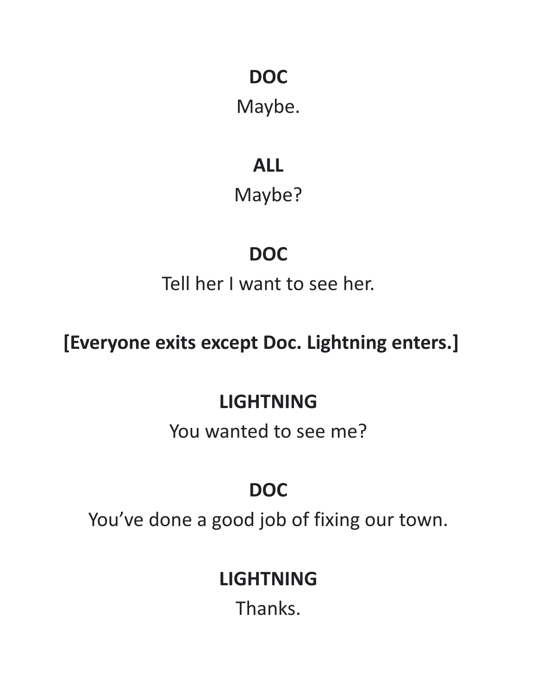## **DOC**

Maybe.

## **ALL**

### Maybe?

## **DOC**

## Tell her I want to see her.

# **[Everyone exits except Doc. Lightning enters.]**

## **LIGHTNING**

You wanted to see me?

# **DOC**

You've done a good job of fixing our town.

# **LIGHTNING**

Thanks.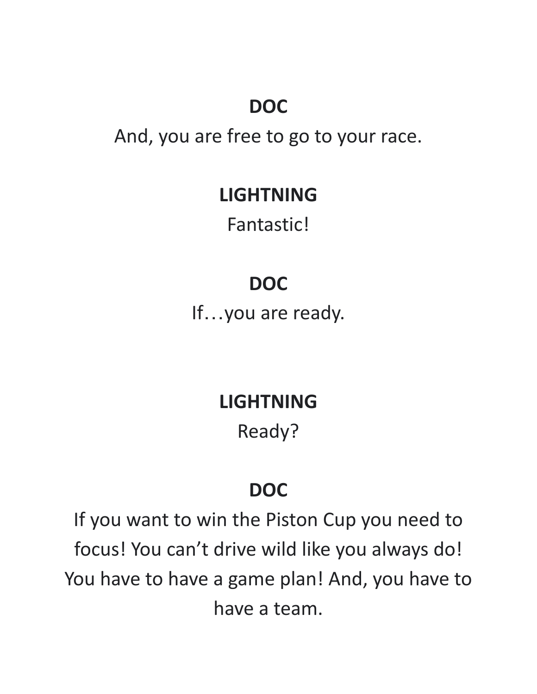## **DOC**

#### And, you are free to go to your race.

#### **LIGHTNING**

Fantastic!

## **DOC** If…you are ready.

### **LIGHTNING**

## Ready?

### **DOC**

If you want to win the Piston Cup you need to focus! You can't drive wild like you always do! You have to have a game plan! And, you have to have a team.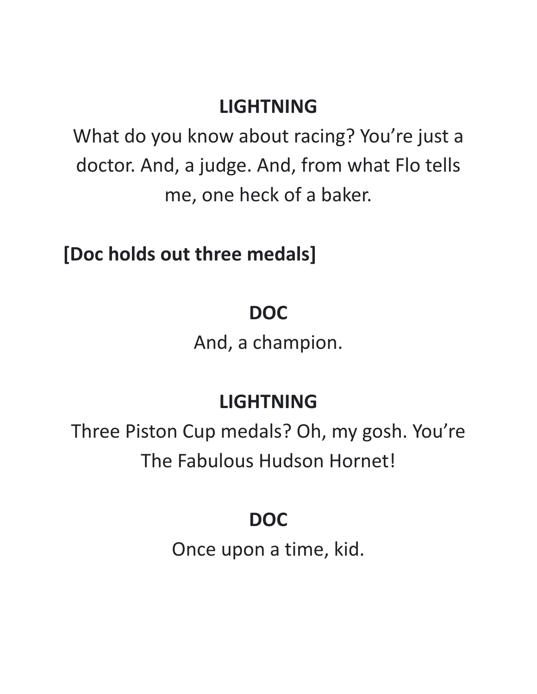#### **LIGHTNING**

What do you know about racing? You're just a doctor. And, a judge. And, from what Flo tells me, one heck of a baker.

**[Doc holds out three medals]**

### **DOC**

And, a champion.

#### **LIGHTNING**

Three Piston Cup medals? Oh, my gosh. You're The Fabulous Hudson Hornet!

#### **DOC**

Once upon a time, kid.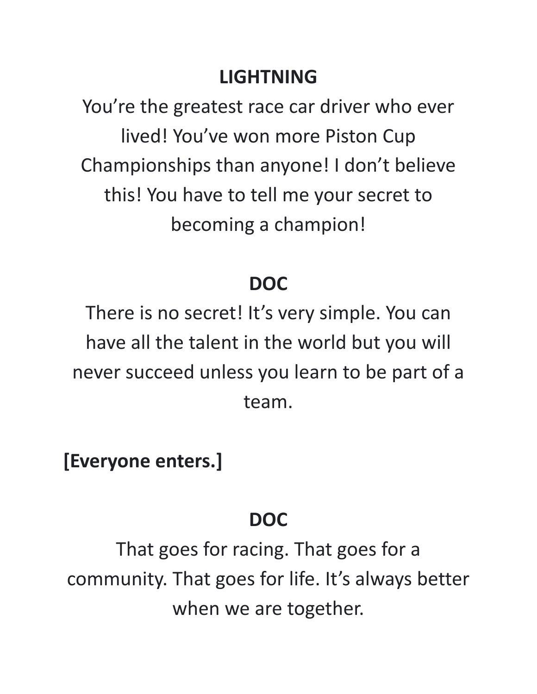### **LIGHTNING**

You're the greatest race car driver who ever lived! You've won more Piston Cup Championships than anyone! I don't believe this! You have to tell me your secret to becoming a champion!

## **DOC**

There is no secret! It's very simple. You can have all the talent in the world but you will never succeed unless you learn to be part of a team.

**[Everyone enters.]**

### **DOC**

That goes for racing. That goes for a community. That goes for life. It's always better when we are together.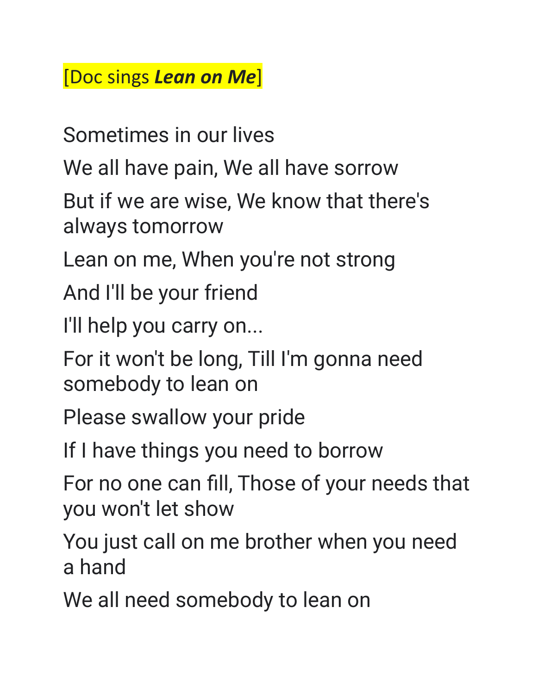## [Doc sings *Lean on Me*]

Sometimes in our lives

We all have pain, We all have sorrow

But if we are wise, We know that there's always tomorrow

Lean on me, When you're not strong

And I'll be your friend

I'll help you carry on...

For it won't be long, Till I'm gonna need somebody to lean on

Please swallow your pride

If I have things you need to borrow

For no one can fill, Those of your needs that you won't let show

You just call on me brother when you need a hand

We all need somebody to lean on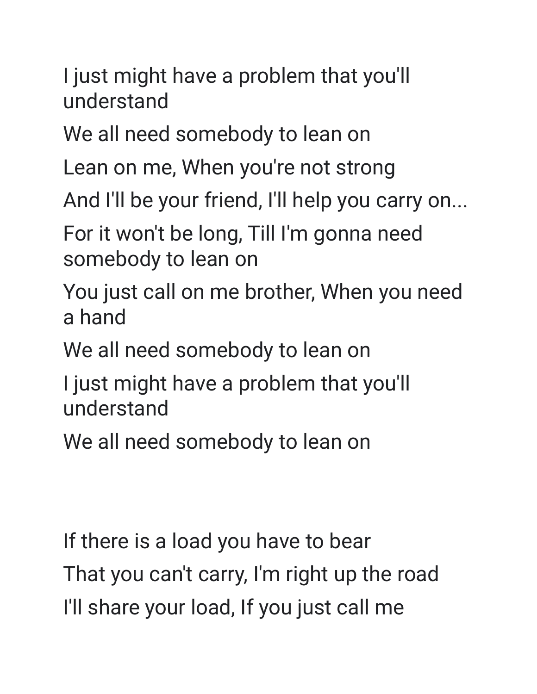I just might have a problem that you'll understand

We all need somebody to lean on

Lean on me, When you're not strong

And I'll be your friend, I'll help you carry on...

For it won't be long, Till I'm gonna need somebody to lean on

You just call on me brother, When you need a hand

We all need somebody to lean on

I just might have a problem that you'll understand

We all need somebody to lean on

If there is a load you have to bear That you can't carry, I'm right up the road I'll share your load, If you just call me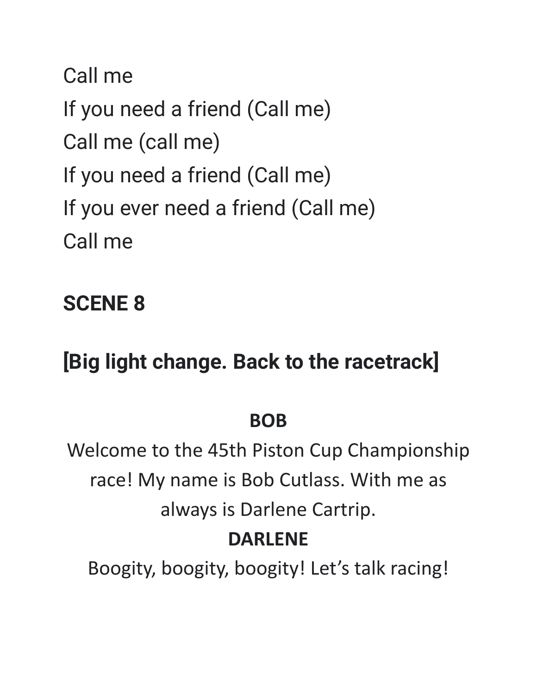Call me If you need a friend (Call me) Call me (call me) If you need a friend (Call me) If you ever need a friend (Call me) Call me

# **SCENE 8**

# **[Big light change. Back to the racetrack]**

## **BOB**

Welcome to the 45th Piston Cup Championship race! My name is Bob Cutlass. With me as always is Darlene Cartrip.

## **DARLENE**

Boogity, boogity, boogity! Let's talk racing!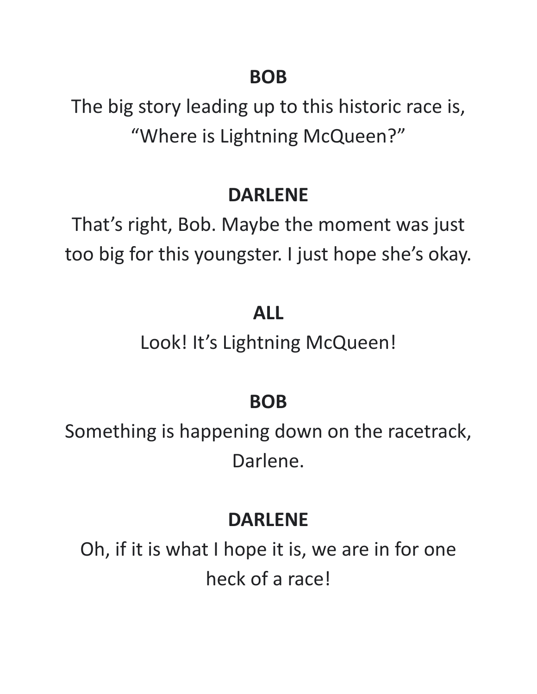#### **BOB**

The big story leading up to this historic race is, "Where is Lightning McQueen?"

#### **DARLENE**

That's right, Bob. Maybe the moment was just too big for this youngster. I just hope she's okay.

#### **ALL**

Look! It's Lightning McQueen!

#### **BOB**

Something is happening down on the racetrack, Darlene.

#### **DARLENE**

Oh, if it is what I hope it is, we are in for one heck of a race!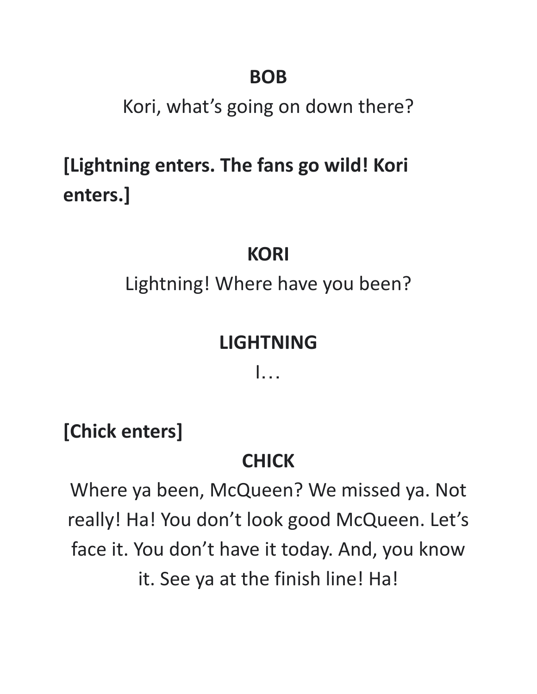### **BOB**

Kori, what's going on down there?

**[Lightning enters. The fans go wild! Kori enters.]**

## **KORI**

## Lightning! Where have you been?

## **LIGHTNING**

 $\mathbf{I}$ .

## **[Chick enters]**

### **CHICK**

Where ya been, McQueen? We missed ya. Not really! Ha! You don't look good McQueen. Let's face it. You don't have it today. And, you know it. See ya at the finish line! Ha!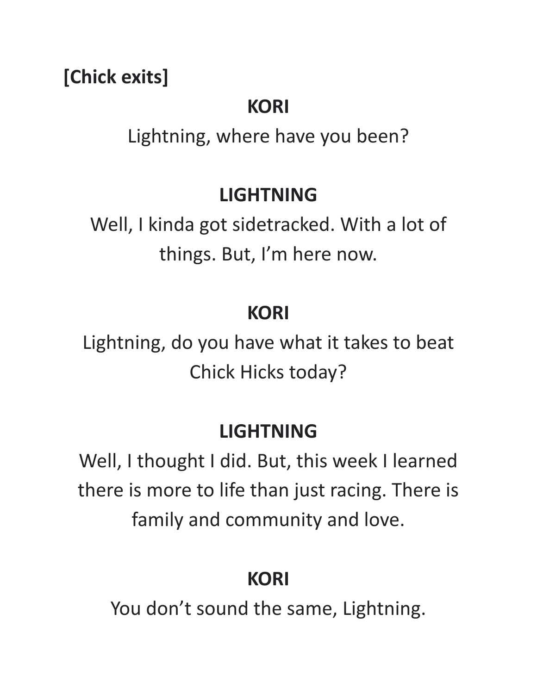**[Chick exits]**

## **KORI**

Lightning, where have you been?

#### **LIGHTNING**

Well, I kinda got sidetracked. With a lot of things. But, I'm here now.

#### **KORI**

Lightning, do you have what it takes to beat Chick Hicks today?

#### **LIGHTNING**

Well, I thought I did. But, this week I learned there is more to life than just racing. There is family and community and love.

## **KORI**

You don't sound the same, Lightning.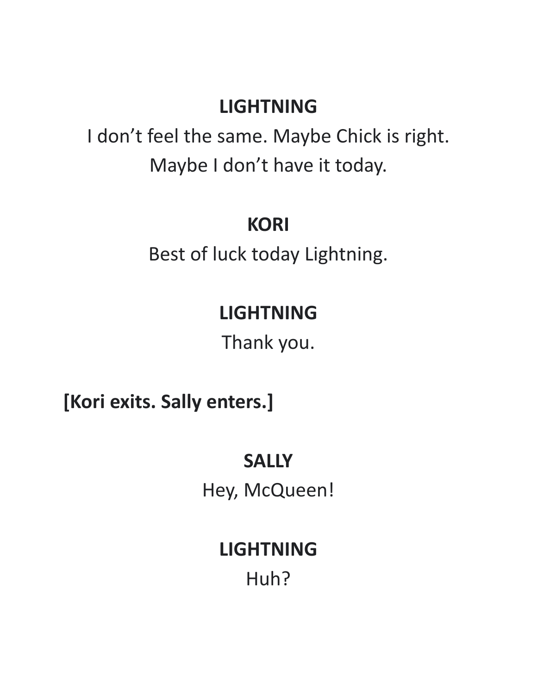#### **LIGHTNING**

I don't feel the same. Maybe Chick is right. Maybe I don't have it today.

## **KORI**

Best of luck today Lightning.

## **LIGHTNING**

Thank you.

## **[Kori exits. Sally enters.]**

### **SALLY**

Hey, McQueen!

### **LIGHTNING**

Huh?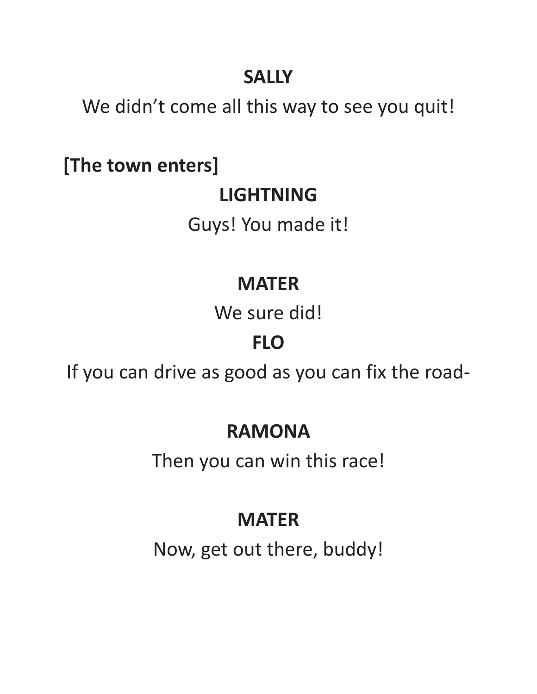#### **SALLY**

We didn't come all this way to see you quit!

## **[The town enters]**

#### **LIGHTNING**

Guys! You made it!

## **MATER**

We sure did!

## **FLO**

If you can drive as good as you can fix the road-

### **RAMONA**

Then you can win this race!

### **MATER**

Now, get out there, buddy!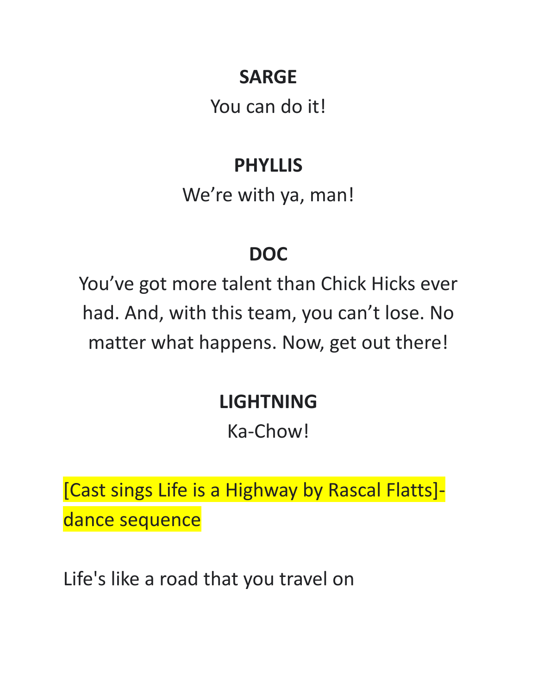## **SARGE**

You can do it!

## **PHYLLIS**

We're with ya, man!

## **DOC**

You've got more talent than Chick Hicks ever had. And, with this team, you can't lose. No matter what happens. Now, get out there!

## **LIGHTNING**

Ka-Chow!

[Cast sings Life is a Highway by Rascal Flatts] dance sequence

Life's like a road that you travel on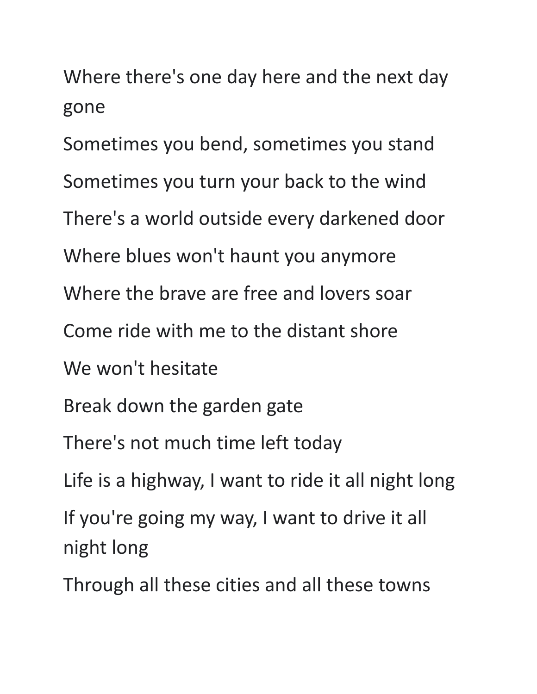# Where there's one day here and the next day gone

Sometimes you bend, sometimes you stand Sometimes you turn your back to the wind There's a world outside every darkened door Where blues won't haunt you anymore Where the brave are free and lovers soar Come ride with me to the distant shore We won't hesitate Break down the garden gate There's not much time left today Life is a highway, I want to ride it all night long If you're going my way, I want to drive it all night long

Through all these cities and all these towns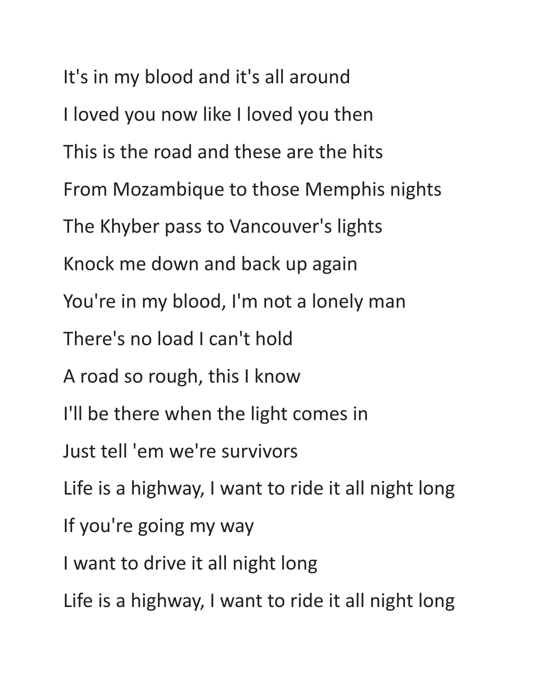It's in my blood and it's all around I loved you now like I loved you then This is the road and these are the hits From Mozambique to those Memphis nights The Khyber pass to Vancouver's lights Knock me down and back up again You're in my blood, I'm not a lonely man There's no load I can't hold A road so rough, this I know I'll be there when the light comes in Just tell 'em we're survivors Life is a highway, I want to ride it all night long If you're going my way I want to drive it all night long Life is a highway, I want to ride it all night long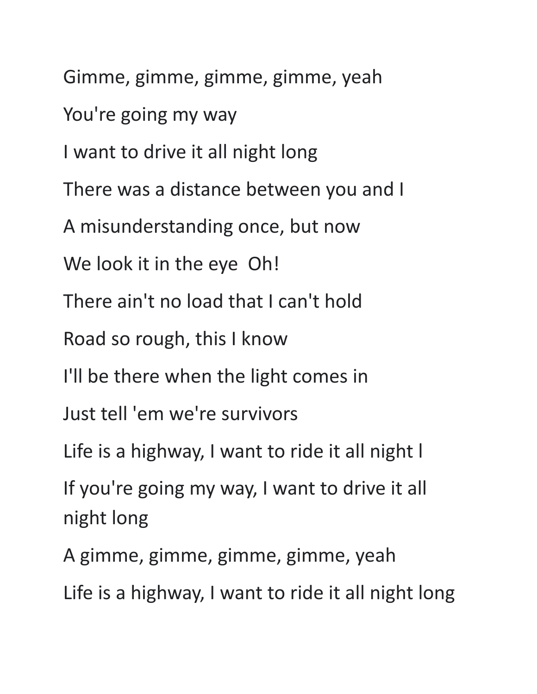Gimme, gimme, gimme, gimme, yeah You're going my way I want to drive it all night long There was a distance between you and I A misunderstanding once, but now We look it in the eye Oh! There ain't no load that I can't hold Road so rough, this I know I'll be there when the light comes in Just tell 'em we're survivors Life is a highway, I want to ride it all night l If you're going my way, I want to drive it all night long A gimme, gimme, gimme, gimme, yeah Life is a highway, I want to ride it all night long